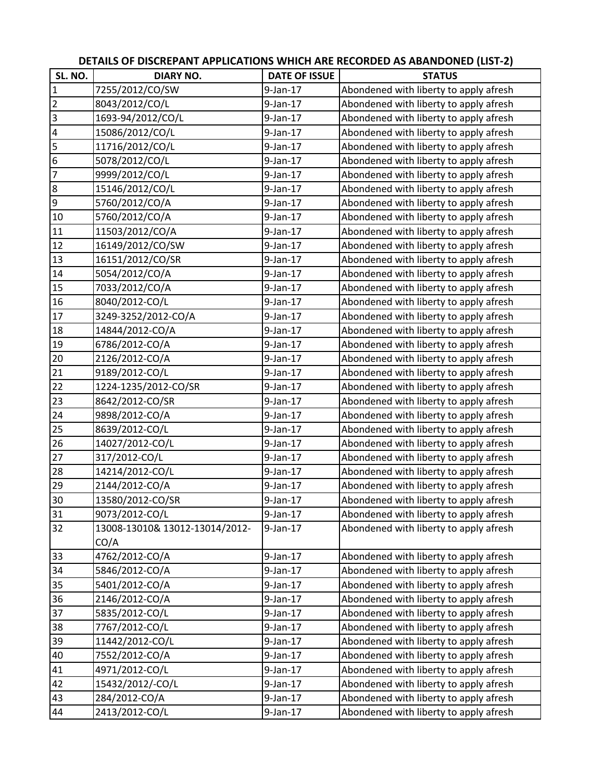|                 |                                |                      | DETAILS OF DISCREPANT APPLICATIONS WHICH ARE RECORDED AS ABANDONED (LIST-2) |
|-----------------|--------------------------------|----------------------|-----------------------------------------------------------------------------|
| SL. NO.         | <b>DIARY NO.</b>               | <b>DATE OF ISSUE</b> | <b>STATUS</b>                                                               |
| $\mathbf{1}$    | 7255/2012/CO/SW                | $9$ -Jan-17          | Abondened with liberty to apply afresh                                      |
| $\overline{2}$  | 8043/2012/CO/L                 | $9$ -Jan-17          | Abondened with liberty to apply afresh                                      |
| $\overline{3}$  | 1693-94/2012/CO/L              | $9$ -Jan-17          | Abondened with liberty to apply afresh                                      |
|                 | 15086/2012/CO/L                | 9-Jan-17             | Abondened with liberty to apply afresh                                      |
|                 | 11716/2012/CO/L                | 9-Jan-17             | Abondened with liberty to apply afresh                                      |
|                 | 5078/2012/CO/L                 | 9-Jan-17             | Abondened with liberty to apply afresh                                      |
|                 | 9999/2012/CO/L                 | $9$ -Jan-17          | Abondened with liberty to apply afresh                                      |
| 8               | 15146/2012/CO/L                | 9-Jan-17             | Abondened with liberty to apply afresh                                      |
| $\overline{9}$  | 5760/2012/CO/A                 | $9$ -Jan-17          | Abondened with liberty to apply afresh                                      |
| 10              | 5760/2012/CO/A                 | $9$ -Jan-17          | Abondened with liberty to apply afresh                                      |
| 11              | 11503/2012/CO/A                | 9-Jan-17             | Abondened with liberty to apply afresh                                      |
| 12              | 16149/2012/CO/SW               | 9-Jan-17             | Abondened with liberty to apply afresh                                      |
| 13              | 16151/2012/CO/SR               | $9$ -Jan-17          | Abondened with liberty to apply afresh                                      |
| 14              | 5054/2012/CO/A                 | $9$ -Jan-17          | Abondened with liberty to apply afresh                                      |
| 15              | 7033/2012/CO/A                 | 9-Jan-17             | Abondened with liberty to apply afresh                                      |
| 16              | 8040/2012-CO/L                 | $9$ -Jan-17          | Abondened with liberty to apply afresh                                      |
| 17              | 3249-3252/2012-CO/A            | 9-Jan-17             | Abondened with liberty to apply afresh                                      |
| 18              | 14844/2012-CO/A                | $9$ -Jan-17          | Abondened with liberty to apply afresh                                      |
| 19              | 6786/2012-CO/A                 | 9-Jan-17             | Abondened with liberty to apply afresh                                      |
| 20              | 2126/2012-CO/A                 | 9-Jan-17             | Abondened with liberty to apply afresh                                      |
| $\overline{21}$ | 9189/2012-CO/L                 | $9$ -Jan-17          | Abondened with liberty to apply afresh                                      |
| $\overline{22}$ | 1224-1235/2012-CO/SR           | 9-Jan-17             | Abondened with liberty to apply afresh                                      |
| 23              | 8642/2012-CO/SR                | $9$ -Jan-17          | Abondened with liberty to apply afresh                                      |
| 24              | 9898/2012-CO/A                 | $9$ -Jan-17          | Abondened with liberty to apply afresh                                      |
| 25              | 8639/2012-CO/L                 | $9$ -Jan-17          | Abondened with liberty to apply afresh                                      |
| 26              | 14027/2012-CO/L                | $9$ -Jan-17          | Abondened with liberty to apply afresh                                      |
| $\overline{27}$ | 317/2012-CO/L                  | 9-Jan-17             | Abondened with liberty to apply afresh                                      |
| 28              | 14214/2012-CO/L                | $9$ -Jan-17          | Abondened with liberty to apply afresh                                      |
| 29              | 2144/2012-CO/A                 | 9-Jan-17             | Abondened with liberty to apply afresh                                      |
| 30              | 13580/2012-CO/SR               | 9-Jan-17             | Abondened with liberty to apply afresh                                      |
| 31              | 9073/2012-CO/L                 | 9-Jan-17             | Abondened with liberty to apply afresh                                      |
| 32              | 13008-13010& 13012-13014/2012- | 9-Jan-17             | Abondened with liberty to apply afresh                                      |
|                 | CO/A                           |                      |                                                                             |
| 33              | 4762/2012-CO/A                 | 9-Jan-17             | Abondened with liberty to apply afresh                                      |
| 34              | 5846/2012-CO/A                 | 9-Jan-17             | Abondened with liberty to apply afresh                                      |
| $\boxed{35}$    | 5401/2012-CO/A                 | 9-Jan-17             | Abondened with liberty to apply afresh                                      |
| 36              | 2146/2012-CO/A                 | $9$ -Jan-17          | Abondened with liberty to apply afresh                                      |
| 37              | 5835/2012-CO/L                 | $9$ -Jan-17          | Abondened with liberty to apply afresh                                      |
| 38              | 7767/2012-CO/L                 | $9$ -Jan-17          | Abondened with liberty to apply afresh                                      |
| 39              | 11442/2012-CO/L                | 9-Jan-17             | Abondened with liberty to apply afresh                                      |
| 40              | 7552/2012-CO/A                 | 9-Jan-17             | Abondened with liberty to apply afresh                                      |
| 41              | 4971/2012-CO/L                 | 9-Jan-17             | Abondened with liberty to apply afresh                                      |
| 42              | 15432/2012/-CO/L               | 9-Jan-17             | Abondened with liberty to apply afresh                                      |
| 43              | 284/2012-CO/A                  | 9-Jan-17             | Abondened with liberty to apply afresh                                      |
| 44              | 2413/2012-CO/L                 | 9-Jan-17             | Abondened with liberty to apply afresh                                      |

## **DETAILS OF DISCREPANT APPLICATIONS WHICH ARE RECORDED AS ABANDONED (LIST‐2)**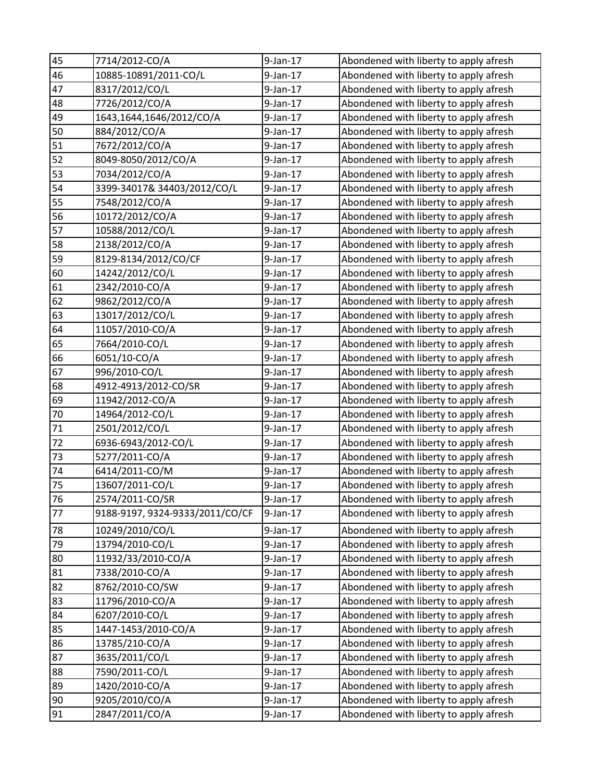| 45 | 7714/2012-CO/A                  | $9$ -Jan-17 | Abondened with liberty to apply afresh |
|----|---------------------------------|-------------|----------------------------------------|
| 46 | 10885-10891/2011-CO/L           | 9-Jan-17    | Abondened with liberty to apply afresh |
| 47 | 8317/2012/CO/L                  | $9$ -Jan-17 | Abondened with liberty to apply afresh |
| 48 | 7726/2012/CO/A                  | $9$ -Jan-17 | Abondened with liberty to apply afresh |
| 49 | 1643,1644,1646/2012/CO/A        | $9$ -Jan-17 | Abondened with liberty to apply afresh |
| 50 | 884/2012/CO/A                   | 9-Jan-17    | Abondened with liberty to apply afresh |
| 51 | 7672/2012/CO/A                  | $9$ -Jan-17 | Abondened with liberty to apply afresh |
| 52 | 8049-8050/2012/CO/A             | 9-Jan-17    | Abondened with liberty to apply afresh |
| 53 | 7034/2012/CO/A                  | $9$ -Jan-17 | Abondened with liberty to apply afresh |
| 54 | 3399-34017& 34403/2012/CO/L     | $9$ -Jan-17 | Abondened with liberty to apply afresh |
| 55 | 7548/2012/CO/A                  | 9-Jan-17    | Abondened with liberty to apply afresh |
| 56 | 10172/2012/CO/A                 | $9$ -Jan-17 | Abondened with liberty to apply afresh |
| 57 | 10588/2012/CO/L                 | 9-Jan-17    | Abondened with liberty to apply afresh |
| 58 | 2138/2012/CO/A                  | $9$ -Jan-17 | Abondened with liberty to apply afresh |
| 59 | 8129-8134/2012/CO/CF            | $9$ -Jan-17 | Abondened with liberty to apply afresh |
| 60 | 14242/2012/CO/L                 | 9-Jan-17    | Abondened with liberty to apply afresh |
| 61 | 2342/2010-CO/A                  | $9$ -Jan-17 | Abondened with liberty to apply afresh |
| 62 | 9862/2012/CO/A                  | 9-Jan-17    | Abondened with liberty to apply afresh |
| 63 | 13017/2012/CO/L                 | $9$ -Jan-17 | Abondened with liberty to apply afresh |
| 64 | 11057/2010-CO/A                 | 9-Jan-17    | Abondened with liberty to apply afresh |
| 65 | 7664/2010-CO/L                  | $9$ -Jan-17 | Abondened with liberty to apply afresh |
| 66 | 6051/10-CO/A                    | $9$ -Jan-17 | Abondened with liberty to apply afresh |
| 67 | 996/2010-CO/L                   | $9$ -Jan-17 | Abondened with liberty to apply afresh |
| 68 | 4912-4913/2012-CO/SR            | $9$ -Jan-17 | Abondened with liberty to apply afresh |
| 69 | 11942/2012-CO/A                 | $9$ -Jan-17 | Abondened with liberty to apply afresh |
| 70 | 14964/2012-CO/L                 | $9$ -Jan-17 | Abondened with liberty to apply afresh |
| 71 | 2501/2012/CO/L                  | $9$ -Jan-17 | Abondened with liberty to apply afresh |
| 72 | 6936-6943/2012-CO/L             | $9$ -Jan-17 | Abondened with liberty to apply afresh |
| 73 | 5277/2011-CO/A                  | 9-Jan-17    | Abondened with liberty to apply afresh |
| 74 | 6414/2011-CO/M                  | $9$ -Jan-17 | Abondened with liberty to apply afresh |
| 75 | 13607/2011-CO/L                 | 9-Jan-17    | Abondened with liberty to apply afresh |
| 76 | 2574/2011-CO/SR                 | $9$ -Jan-17 | Abondened with liberty to apply afresh |
| 77 | 9188-9197, 9324-9333/2011/CO/CF | 9-Jan-17    | Abondened with liberty to apply afresh |
| 78 | 10249/2010/CO/L                 | $9$ -Jan-17 | Abondened with liberty to apply afresh |
| 79 | 13794/2010-CO/L                 | $9$ -Jan-17 | Abondened with liberty to apply afresh |
| 80 | 11932/33/2010-CO/A              | $9$ -Jan-17 | Abondened with liberty to apply afresh |
| 81 | 7338/2010-CO/A                  | $9$ -Jan-17 | Abondened with liberty to apply afresh |
| 82 | 8762/2010-CO/SW                 | 9-Jan-17    | Abondened with liberty to apply afresh |
| 83 | 11796/2010-CO/A                 | $9$ -Jan-17 | Abondened with liberty to apply afresh |
| 84 | 6207/2010-CO/L                  | $9$ -Jan-17 | Abondened with liberty to apply afresh |
| 85 | 1447-1453/2010-CO/A             | $9$ -Jan-17 | Abondened with liberty to apply afresh |
| 86 | 13785/210-CO/A                  | $9$ -Jan-17 | Abondened with liberty to apply afresh |
| 87 | 3635/2011/CO/L                  | $9$ -Jan-17 | Abondened with liberty to apply afresh |
| 88 | 7590/2011-CO/L                  | $9$ -Jan-17 | Abondened with liberty to apply afresh |
| 89 | 1420/2010-CO/A                  | $9$ -Jan-17 | Abondened with liberty to apply afresh |
| 90 | 9205/2010/CO/A                  | 9-Jan-17    | Abondened with liberty to apply afresh |
| 91 | 2847/2011/CO/A                  | $9$ -Jan-17 | Abondened with liberty to apply afresh |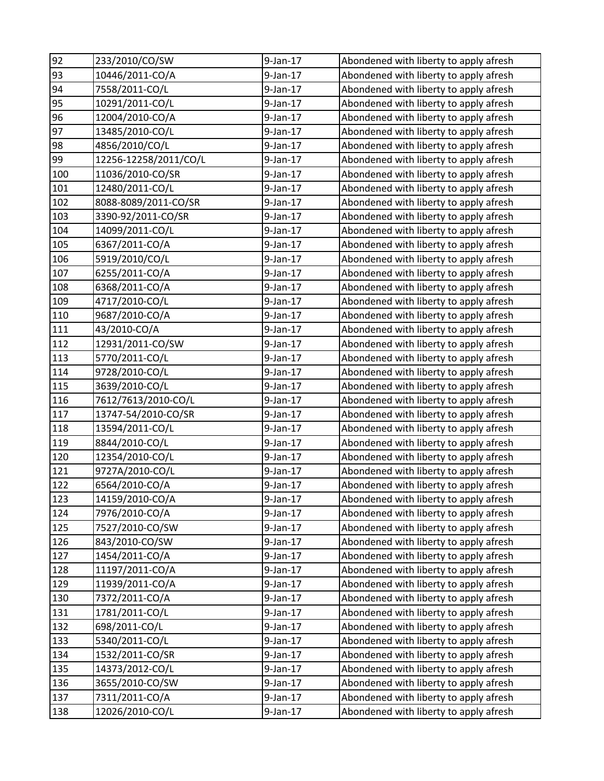| 92  | 233/2010/CO/SW        | $9$ -Jan-17 | Abondened with liberty to apply afresh |
|-----|-----------------------|-------------|----------------------------------------|
| 93  | 10446/2011-CO/A       | 9-Jan-17    | Abondened with liberty to apply afresh |
| 94  | 7558/2011-CO/L        | 9-Jan-17    | Abondened with liberty to apply afresh |
| 95  | 10291/2011-CO/L       | $9$ -Jan-17 | Abondened with liberty to apply afresh |
| 96  | 12004/2010-CO/A       | $9$ -Jan-17 | Abondened with liberty to apply afresh |
| 97  | 13485/2010-CO/L       | 9-Jan-17    | Abondened with liberty to apply afresh |
| 98  | 4856/2010/CO/L        | 9-Jan-17    | Abondened with liberty to apply afresh |
| 99  | 12256-12258/2011/CO/L | $9$ -Jan-17 | Abondened with liberty to apply afresh |
| 100 | 11036/2010-CO/SR      | $9$ -Jan-17 | Abondened with liberty to apply afresh |
| 101 | 12480/2011-CO/L       | $9$ -Jan-17 | Abondened with liberty to apply afresh |
| 102 | 8088-8089/2011-CO/SR  | 9-Jan-17    | Abondened with liberty to apply afresh |
| 103 | 3390-92/2011-CO/SR    | $9$ -Jan-17 | Abondened with liberty to apply afresh |
| 104 | 14099/2011-CO/L       | 9-Jan-17    | Abondened with liberty to apply afresh |
| 105 | 6367/2011-CO/A        | $9$ -Jan-17 | Abondened with liberty to apply afresh |
| 106 | 5919/2010/CO/L        | $9$ -Jan-17 | Abondened with liberty to apply afresh |
| 107 | 6255/2011-CO/A        | 9-Jan-17    | Abondened with liberty to apply afresh |
| 108 | 6368/2011-CO/A        | $9$ -Jan-17 | Abondened with liberty to apply afresh |
| 109 | 4717/2010-CO/L        | 9-Jan-17    | Abondened with liberty to apply afresh |
| 110 | 9687/2010-CO/A        | 9-Jan-17    | Abondened with liberty to apply afresh |
| 111 | 43/2010-CO/A          | 9-Jan-17    | Abondened with liberty to apply afresh |
| 112 | 12931/2011-CO/SW      | 9-Jan-17    | Abondened with liberty to apply afresh |
| 113 | 5770/2011-CO/L        | 9-Jan-17    | Abondened with liberty to apply afresh |
| 114 | 9728/2010-CO/L        | 9-Jan-17    | Abondened with liberty to apply afresh |
| 115 | 3639/2010-CO/L        | 9-Jan-17    | Abondened with liberty to apply afresh |
| 116 | 7612/7613/2010-CO/L   | 9-Jan-17    | Abondened with liberty to apply afresh |
| 117 | 13747-54/2010-CO/SR   | 9-Jan-17    | Abondened with liberty to apply afresh |
| 118 | 13594/2011-CO/L       | $9$ -Jan-17 | Abondened with liberty to apply afresh |
| 119 | 8844/2010-CO/L        | 9-Jan-17    | Abondened with liberty to apply afresh |
| 120 | 12354/2010-CO/L       | 9-Jan-17    | Abondened with liberty to apply afresh |
| 121 | 9727A/2010-CO/L       | $9$ -Jan-17 | Abondened with liberty to apply afresh |
| 122 | 6564/2010-CO/A        | $9$ -Jan-17 | Abondened with liberty to apply afresh |
| 123 | 14159/2010-CO/A       | 9-Jan-17    | Abondened with liberty to apply afresh |
| 124 | 7976/2010-CO/A        | 9-Jan-17    | Abondened with liberty to apply afresh |
| 125 | 7527/2010-CO/SW       | 9-Jan-17    | Abondened with liberty to apply afresh |
| 126 | 843/2010-CO/SW        | $9$ -Jan-17 | Abondened with liberty to apply afresh |
| 127 | 1454/2011-CO/A        | 9-Jan-17    | Abondened with liberty to apply afresh |
| 128 | 11197/2011-CO/A       | 9-Jan-17    | Abondened with liberty to apply afresh |
| 129 | 11939/2011-CO/A       | $9$ -Jan-17 | Abondened with liberty to apply afresh |
| 130 | 7372/2011-CO/A        | $9$ -Jan-17 | Abondened with liberty to apply afresh |
| 131 | 1781/2011-CO/L        | $9$ -Jan-17 | Abondened with liberty to apply afresh |
| 132 | 698/2011-CO/L         | 9-Jan-17    | Abondened with liberty to apply afresh |
| 133 | 5340/2011-CO/L        | $9$ -Jan-17 | Abondened with liberty to apply afresh |
| 134 | 1532/2011-CO/SR       | $9$ -Jan-17 | Abondened with liberty to apply afresh |
| 135 | 14373/2012-CO/L       | 9-Jan-17    | Abondened with liberty to apply afresh |
| 136 | 3655/2010-CO/SW       | 9-Jan-17    | Abondened with liberty to apply afresh |
| 137 | 7311/2011-CO/A        | 9-Jan-17    | Abondened with liberty to apply afresh |
| 138 | 12026/2010-CO/L       | 9-Jan-17    | Abondened with liberty to apply afresh |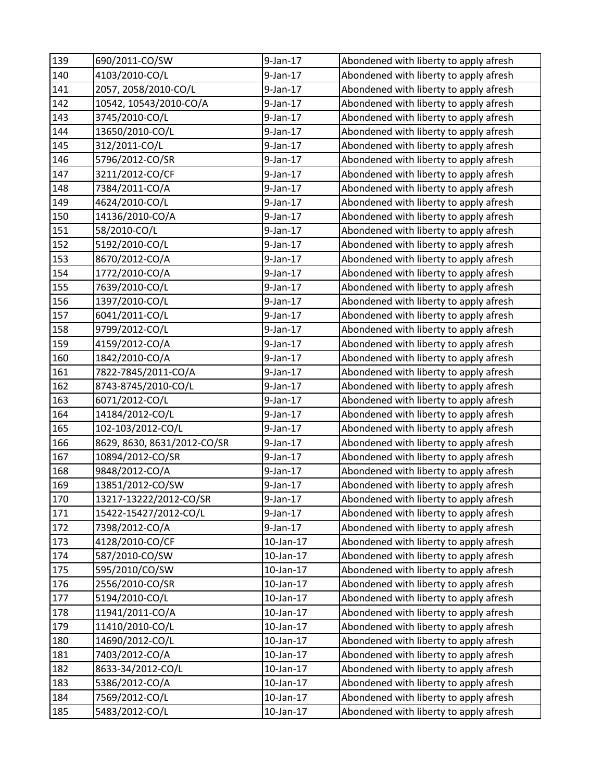| 139 | 690/2011-CO/SW              | $9$ -Jan-17 | Abondened with liberty to apply afresh |
|-----|-----------------------------|-------------|----------------------------------------|
| 140 | 4103/2010-CO/L              | $9$ -Jan-17 | Abondened with liberty to apply afresh |
| 141 | 2057, 2058/2010-CO/L        | 9-Jan-17    | Abondened with liberty to apply afresh |
| 142 | 10542, 10543/2010-CO/A      | $9$ -Jan-17 | Abondened with liberty to apply afresh |
| 143 | 3745/2010-CO/L              | $9$ -Jan-17 | Abondened with liberty to apply afresh |
| 144 | 13650/2010-CO/L             | 9-Jan-17    | Abondened with liberty to apply afresh |
| 145 | 312/2011-CO/L               | $9$ -Jan-17 | Abondened with liberty to apply afresh |
| 146 | 5796/2012-CO/SR             | 9-Jan-17    | Abondened with liberty to apply afresh |
| 147 | 3211/2012-CO/CF             | 9-Jan-17    | Abondened with liberty to apply afresh |
| 148 | 7384/2011-CO/A              | $9$ -Jan-17 | Abondened with liberty to apply afresh |
| 149 | 4624/2010-CO/L              | 9-Jan-17    | Abondened with liberty to apply afresh |
| 150 | 14136/2010-CO/A             | $9$ -Jan-17 | Abondened with liberty to apply afresh |
| 151 | 58/2010-CO/L                | 9-Jan-17    | Abondened with liberty to apply afresh |
| 152 | 5192/2010-CO/L              | $9$ -Jan-17 | Abondened with liberty to apply afresh |
| 153 | 8670/2012-CO/A              | $9$ -Jan-17 | Abondened with liberty to apply afresh |
| 154 | 1772/2010-CO/A              | $9$ -Jan-17 | Abondened with liberty to apply afresh |
| 155 | 7639/2010-CO/L              | $9$ -Jan-17 | Abondened with liberty to apply afresh |
| 156 | 1397/2010-CO/L              | 9-Jan-17    | Abondened with liberty to apply afresh |
| 157 | 6041/2011-CO/L              | $9$ -Jan-17 | Abondened with liberty to apply afresh |
| 158 | 9799/2012-CO/L              | 9-Jan-17    | Abondened with liberty to apply afresh |
| 159 | 4159/2012-CO/A              | $9$ -Jan-17 | Abondened with liberty to apply afresh |
| 160 | 1842/2010-CO/A              | $9$ -Jan-17 | Abondened with liberty to apply afresh |
| 161 | 7822-7845/2011-CO/A         | $9$ -Jan-17 | Abondened with liberty to apply afresh |
| 162 | 8743-8745/2010-CO/L         | $9$ -Jan-17 | Abondened with liberty to apply afresh |
| 163 | 6071/2012-CO/L              | $9$ -Jan-17 | Abondened with liberty to apply afresh |
| 164 | 14184/2012-CO/L             | $9$ -Jan-17 | Abondened with liberty to apply afresh |
| 165 | 102-103/2012-CO/L           | $9$ -Jan-17 | Abondened with liberty to apply afresh |
| 166 | 8629, 8630, 8631/2012-CO/SR | 9-Jan-17    | Abondened with liberty to apply afresh |
| 167 | 10894/2012-CO/SR            | 9-Jan-17    | Abondened with liberty to apply afresh |
| 168 | 9848/2012-CO/A              | 9-Jan-17    | Abondened with liberty to apply afresh |
| 169 | 13851/2012-CO/SW            | $9$ -Jan-17 | Abondened with liberty to apply afresh |
| 170 | 13217-13222/2012-CO/SR      | 9-Jan-17    | Abondened with liberty to apply afresh |
| 171 | 15422-15427/2012-CO/L       | 9-Jan-17    | Abondened with liberty to apply afresh |
| 172 | 7398/2012-CO/A              | $9$ -Jan-17 | Abondened with liberty to apply afresh |
| 173 | 4128/2010-CO/CF             | 10-Jan-17   | Abondened with liberty to apply afresh |
| 174 | 587/2010-CO/SW              | 10-Jan-17   | Abondened with liberty to apply afresh |
| 175 | 595/2010/CO/SW              | 10-Jan-17   | Abondened with liberty to apply afresh |
| 176 | 2556/2010-CO/SR             | 10-Jan-17   | Abondened with liberty to apply afresh |
| 177 | 5194/2010-CO/L              | 10-Jan-17   | Abondened with liberty to apply afresh |
| 178 | 11941/2011-CO/A             | 10-Jan-17   | Abondened with liberty to apply afresh |
| 179 | 11410/2010-CO/L             | 10-Jan-17   | Abondened with liberty to apply afresh |
| 180 | 14690/2012-CO/L             | 10-Jan-17   | Abondened with liberty to apply afresh |
| 181 | 7403/2012-CO/A              | 10-Jan-17   | Abondened with liberty to apply afresh |
| 182 | 8633-34/2012-CO/L           | 10-Jan-17   | Abondened with liberty to apply afresh |
| 183 | 5386/2012-CO/A              | 10-Jan-17   | Abondened with liberty to apply afresh |
| 184 | 7569/2012-CO/L              | 10-Jan-17   | Abondened with liberty to apply afresh |
| 185 | 5483/2012-CO/L              | 10-Jan-17   | Abondened with liberty to apply afresh |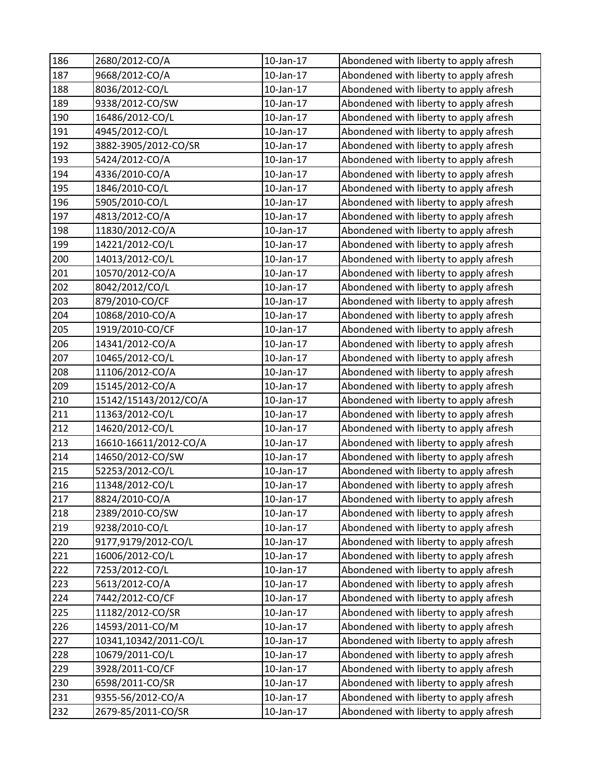| 186 | 2680/2012-CO/A        | $10$ -Jan- $17$ | Abondened with liberty to apply afresh |
|-----|-----------------------|-----------------|----------------------------------------|
| 187 | 9668/2012-CO/A        | 10-Jan-17       | Abondened with liberty to apply afresh |
| 188 | 8036/2012-CO/L        | 10-Jan-17       | Abondened with liberty to apply afresh |
| 189 | 9338/2012-CO/SW       | 10-Jan-17       | Abondened with liberty to apply afresh |
| 190 | 16486/2012-CO/L       | $10$ -Jan- $17$ | Abondened with liberty to apply afresh |
| 191 | 4945/2012-CO/L        | 10-Jan-17       | Abondened with liberty to apply afresh |
| 192 | 3882-3905/2012-CO/SR  | 10-Jan-17       | Abondened with liberty to apply afresh |
| 193 | 5424/2012-CO/A        | 10-Jan-17       | Abondened with liberty to apply afresh |
| 194 | 4336/2010-CO/A        | 10-Jan-17       | Abondened with liberty to apply afresh |
| 195 | 1846/2010-CO/L        | 10-Jan-17       | Abondened with liberty to apply afresh |
| 196 | 5905/2010-CO/L        | 10-Jan-17       | Abondened with liberty to apply afresh |
| 197 | 4813/2012-CO/A        | 10-Jan-17       | Abondened with liberty to apply afresh |
| 198 | 11830/2012-CO/A       | 10-Jan-17       | Abondened with liberty to apply afresh |
| 199 | 14221/2012-CO/L       | 10-Jan-17       | Abondened with liberty to apply afresh |
| 200 | 14013/2012-CO/L       | 10-Jan-17       | Abondened with liberty to apply afresh |
| 201 | 10570/2012-CO/A       | 10-Jan-17       | Abondened with liberty to apply afresh |
| 202 | 8042/2012/CO/L        | 10-Jan-17       | Abondened with liberty to apply afresh |
| 203 | 879/2010-CO/CF        | $10$ -Jan- $17$ | Abondened with liberty to apply afresh |
| 204 | 10868/2010-CO/A       | 10-Jan-17       | Abondened with liberty to apply afresh |
| 205 | 1919/2010-CO/CF       | $10$ -Jan- $17$ | Abondened with liberty to apply afresh |
| 206 | 14341/2012-CO/A       | 10-Jan-17       | Abondened with liberty to apply afresh |
| 207 | 10465/2012-CO/L       | 10-Jan-17       | Abondened with liberty to apply afresh |
| 208 | 11106/2012-CO/A       | 10-Jan-17       | Abondened with liberty to apply afresh |
| 209 | 15145/2012-CO/A       | 10-Jan-17       | Abondened with liberty to apply afresh |
| 210 | 15142/15143/2012/CO/A | 10-Jan-17       | Abondened with liberty to apply afresh |
| 211 | 11363/2012-CO/L       | 10-Jan-17       | Abondened with liberty to apply afresh |
| 212 | 14620/2012-CO/L       | 10-Jan-17       | Abondened with liberty to apply afresh |
| 213 | 16610-16611/2012-CO/A | $10$ -Jan- $17$ | Abondened with liberty to apply afresh |
| 214 | 14650/2012-CO/SW      | 10-Jan-17       | Abondened with liberty to apply afresh |
| 215 | 52253/2012-CO/L       | $10$ -Jan- $17$ | Abondened with liberty to apply afresh |
| 216 | 11348/2012-CO/L       | 10-Jan-17       | Abondened with liberty to apply afresh |
| 217 | 8824/2010-CO/A        | 10-Jan-17       | Abondened with liberty to apply afresh |
| 218 | 2389/2010-CO/SW       | 10-Jan-17       | Abondened with liberty to apply afresh |
| 219 | 9238/2010-CO/L        | 10-Jan-17       | Abondened with liberty to apply afresh |
| 220 | 9177,9179/2012-CO/L   | 10-Jan-17       | Abondened with liberty to apply afresh |
| 221 | 16006/2012-CO/L       | 10-Jan-17       | Abondened with liberty to apply afresh |
| 222 | 7253/2012-CO/L        | 10-Jan-17       | Abondened with liberty to apply afresh |
| 223 | 5613/2012-CO/A        | 10-Jan-17       | Abondened with liberty to apply afresh |
| 224 | 7442/2012-CO/CF       | 10-Jan-17       | Abondened with liberty to apply afresh |
| 225 | 11182/2012-CO/SR      | 10-Jan-17       | Abondened with liberty to apply afresh |
| 226 | 14593/2011-CO/M       | 10-Jan-17       | Abondened with liberty to apply afresh |
| 227 | 10341,10342/2011-CO/L | 10-Jan-17       | Abondened with liberty to apply afresh |
| 228 | 10679/2011-CO/L       | 10-Jan-17       | Abondened with liberty to apply afresh |
| 229 | 3928/2011-CO/CF       | 10-Jan-17       | Abondened with liberty to apply afresh |
| 230 | 6598/2011-CO/SR       | 10-Jan-17       | Abondened with liberty to apply afresh |
| 231 | 9355-56/2012-CO/A     | 10-Jan-17       | Abondened with liberty to apply afresh |
| 232 | 2679-85/2011-CO/SR    | 10-Jan-17       | Abondened with liberty to apply afresh |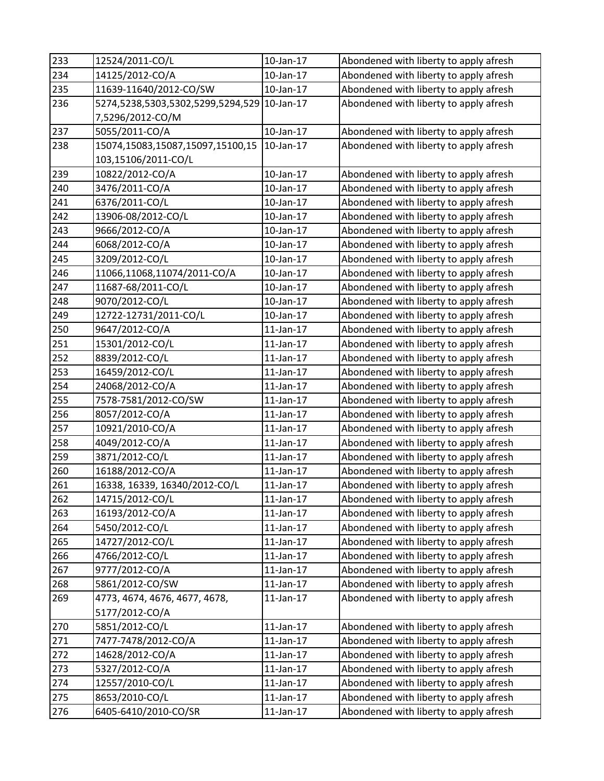| 233 | 12524/2011-CO/L                   | 10-Jan-17       | Abondened with liberty to apply afresh |
|-----|-----------------------------------|-----------------|----------------------------------------|
| 234 | 14125/2012-CO/A                   | 10-Jan-17       | Abondened with liberty to apply afresh |
| 235 | 11639-11640/2012-CO/SW            | 10-Jan-17       | Abondened with liberty to apply afresh |
| 236 | 5274,5238,5303,5302,5299,5294,529 | 10-Jan-17       | Abondened with liberty to apply afresh |
|     | 7,5296/2012-CO/M                  |                 |                                        |
| 237 | 5055/2011-CO/A                    | $10$ -Jan- $17$ | Abondened with liberty to apply afresh |
| 238 | 15074,15083,15087,15097,15100,15  | 10-Jan-17       | Abondened with liberty to apply afresh |
|     | 103,15106/2011-CO/L               |                 |                                        |
| 239 | 10822/2012-CO/A                   | 10-Jan-17       | Abondened with liberty to apply afresh |
| 240 | 3476/2011-CO/A                    | 10-Jan-17       | Abondened with liberty to apply afresh |
| 241 | 6376/2011-CO/L                    | 10-Jan-17       | Abondened with liberty to apply afresh |
| 242 | 13906-08/2012-CO/L                | 10-Jan-17       | Abondened with liberty to apply afresh |
| 243 | 9666/2012-CO/A                    | 10-Jan-17       | Abondened with liberty to apply afresh |
| 244 | 6068/2012-CO/A                    | 10-Jan-17       | Abondened with liberty to apply afresh |
| 245 | 3209/2012-CO/L                    | $10$ -Jan- $17$ | Abondened with liberty to apply afresh |
| 246 | 11066,11068,11074/2011-CO/A       | 10-Jan-17       | Abondened with liberty to apply afresh |
| 247 | 11687-68/2011-CO/L                | 10-Jan-17       | Abondened with liberty to apply afresh |
| 248 | 9070/2012-CO/L                    | 10-Jan-17       | Abondened with liberty to apply afresh |
| 249 | 12722-12731/2011-CO/L             | 10-Jan-17       | Abondened with liberty to apply afresh |
| 250 | 9647/2012-CO/A                    | $11$ -Jan- $17$ | Abondened with liberty to apply afresh |
| 251 | 15301/2012-CO/L                   | 11-Jan-17       | Abondened with liberty to apply afresh |
| 252 | 8839/2012-CO/L                    | 11-Jan-17       | Abondened with liberty to apply afresh |
| 253 | 16459/2012-CO/L                   | $11$ -Jan- $17$ | Abondened with liberty to apply afresh |
| 254 | 24068/2012-CO/A                   | $11$ -Jan- $17$ | Abondened with liberty to apply afresh |
| 255 | 7578-7581/2012-CO/SW              | $11$ -Jan- $17$ | Abondened with liberty to apply afresh |
| 256 | 8057/2012-CO/A                    | 11-Jan-17       | Abondened with liberty to apply afresh |
| 257 | 10921/2010-CO/A                   | $11$ -Jan- $17$ | Abondened with liberty to apply afresh |
| 258 | 4049/2012-CO/A                    | $11$ -Jan- $17$ | Abondened with liberty to apply afresh |
| 259 | 3871/2012-CO/L                    | $11$ -Jan- $17$ | Abondened with liberty to apply afresh |
| 260 | 16188/2012-CO/A                   | $11$ -Jan- $17$ | Abondened with liberty to apply afresh |
| 261 | 16338, 16339, 16340/2012-CO/L     | 11-Jan-17       | Abondened with liberty to apply afresh |
| 262 | 14715/2012-CO/L                   | $11$ -Jan- $17$ | Abondened with liberty to apply afresh |
| 263 | 16193/2012-CO/A                   | $11$ -Jan- $17$ | Abondened with liberty to apply afresh |
| 264 | 5450/2012-CO/L                    | 11-Jan-17       | Abondened with liberty to apply afresh |
| 265 | 14727/2012-CO/L                   | $11$ -Jan- $17$ | Abondened with liberty to apply afresh |
| 266 | 4766/2012-CO/L                    | 11-Jan-17       | Abondened with liberty to apply afresh |
| 267 | 9777/2012-CO/A                    | $11$ -Jan- $17$ | Abondened with liberty to apply afresh |
| 268 | 5861/2012-CO/SW                   | $11$ -Jan- $17$ | Abondened with liberty to apply afresh |
| 269 | 4773, 4674, 4676, 4677, 4678,     | $11$ -Jan- $17$ | Abondened with liberty to apply afresh |
|     | 5177/2012-CO/A                    |                 |                                        |
| 270 | 5851/2012-CO/L                    | $11$ -Jan- $17$ | Abondened with liberty to apply afresh |
| 271 | 7477-7478/2012-CO/A               | $11$ -Jan- $17$ | Abondened with liberty to apply afresh |
| 272 | 14628/2012-CO/A                   | $11$ -Jan- $17$ | Abondened with liberty to apply afresh |
| 273 | 5327/2012-CO/A                    | $11$ -Jan- $17$ | Abondened with liberty to apply afresh |
| 274 | 12557/2010-CO/L                   | $11$ -Jan- $17$ | Abondened with liberty to apply afresh |
| 275 | 8653/2010-CO/L                    | $11$ -Jan- $17$ | Abondened with liberty to apply afresh |
| 276 | 6405-6410/2010-CO/SR              | $11$ -Jan- $17$ | Abondened with liberty to apply afresh |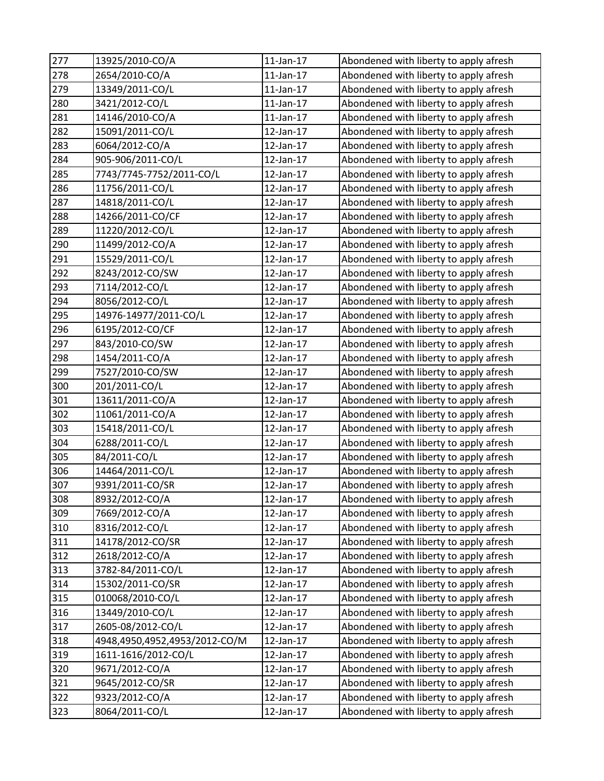| 277 | 13925/2010-CO/A               | $11$ -Jan- $17$ | Abondened with liberty to apply afresh |
|-----|-------------------------------|-----------------|----------------------------------------|
| 278 | 2654/2010-CO/A                | $11$ -Jan- $17$ | Abondened with liberty to apply afresh |
| 279 | 13349/2011-CO/L               | $11$ -Jan- $17$ | Abondened with liberty to apply afresh |
| 280 | 3421/2012-CO/L                | $11$ -Jan- $17$ | Abondened with liberty to apply afresh |
| 281 | 14146/2010-CO/A               | $11$ -Jan- $17$ | Abondened with liberty to apply afresh |
| 282 | 15091/2011-CO/L               | 12-Jan-17       | Abondened with liberty to apply afresh |
| 283 | 6064/2012-CO/A                | 12-Jan-17       | Abondened with liberty to apply afresh |
| 284 | 905-906/2011-CO/L             | 12-Jan-17       | Abondened with liberty to apply afresh |
| 285 | 7743/7745-7752/2011-CO/L      | 12-Jan-17       | Abondened with liberty to apply afresh |
| 286 | 11756/2011-CO/L               | 12-Jan-17       | Abondened with liberty to apply afresh |
| 287 | 14818/2011-CO/L               | 12-Jan-17       | Abondened with liberty to apply afresh |
| 288 | 14266/2011-CO/CF              | 12-Jan-17       | Abondened with liberty to apply afresh |
| 289 | 11220/2012-CO/L               | 12-Jan-17       | Abondened with liberty to apply afresh |
| 290 | 11499/2012-CO/A               | 12-Jan-17       | Abondened with liberty to apply afresh |
| 291 | 15529/2011-CO/L               | 12-Jan-17       | Abondened with liberty to apply afresh |
| 292 | 8243/2012-CO/SW               | 12-Jan-17       | Abondened with liberty to apply afresh |
| 293 | 7114/2012-CO/L                | 12-Jan-17       | Abondened with liberty to apply afresh |
| 294 | 8056/2012-CO/L                | 12-Jan-17       | Abondened with liberty to apply afresh |
| 295 | 14976-14977/2011-CO/L         | 12-Jan-17       | Abondened with liberty to apply afresh |
| 296 | 6195/2012-CO/CF               | 12-Jan-17       | Abondened with liberty to apply afresh |
| 297 | 843/2010-CO/SW                | 12-Jan-17       | Abondened with liberty to apply afresh |
| 298 | 1454/2011-CO/A                | 12-Jan-17       | Abondened with liberty to apply afresh |
| 299 | 7527/2010-CO/SW               | 12-Jan-17       | Abondened with liberty to apply afresh |
| 300 | 201/2011-CO/L                 | 12-Jan-17       | Abondened with liberty to apply afresh |
| 301 | 13611/2011-CO/A               | 12-Jan-17       | Abondened with liberty to apply afresh |
| 302 | 11061/2011-CO/A               | 12-Jan-17       | Abondened with liberty to apply afresh |
| 303 | 15418/2011-CO/L               | 12-Jan-17       | Abondened with liberty to apply afresh |
| 304 | 6288/2011-CO/L                | 12-Jan-17       | Abondened with liberty to apply afresh |
| 305 | 84/2011-CO/L                  | 12-Jan-17       | Abondened with liberty to apply afresh |
| 306 | 14464/2011-CO/L               | 12-Jan-17       | Abondened with liberty to apply afresh |
| 307 | 9391/2011-CO/SR               | 12-Jan-17       | Abondened with liberty to apply afresh |
| 308 | 8932/2012-CO/A                | 12-Jan-17       | Abondened with liberty to apply afresh |
| 309 | 7669/2012-CO/A                | 12-Jan-17       | Abondened with liberty to apply afresh |
| 310 | 8316/2012-CO/L                | 12-Jan-17       | Abondened with liberty to apply afresh |
| 311 | 14178/2012-CO/SR              | 12-Jan-17       | Abondened with liberty to apply afresh |
| 312 | 2618/2012-CO/A                | 12-Jan-17       | Abondened with liberty to apply afresh |
| 313 | 3782-84/2011-CO/L             | 12-Jan-17       | Abondened with liberty to apply afresh |
| 314 | 15302/2011-CO/SR              | $12$ -Jan-17    | Abondened with liberty to apply afresh |
| 315 | 010068/2010-CO/L              | 12-Jan-17       | Abondened with liberty to apply afresh |
| 316 | 13449/2010-CO/L               | 12-Jan-17       | Abondened with liberty to apply afresh |
| 317 | 2605-08/2012-CO/L             | 12-Jan-17       | Abondened with liberty to apply afresh |
| 318 | 4948,4950,4952,4953/2012-CO/M | 12-Jan-17       | Abondened with liberty to apply afresh |
| 319 | 1611-1616/2012-CO/L           | 12-Jan-17       | Abondened with liberty to apply afresh |
| 320 | 9671/2012-CO/A                | 12-Jan-17       | Abondened with liberty to apply afresh |
| 321 | 9645/2012-CO/SR               | 12-Jan-17       | Abondened with liberty to apply afresh |
| 322 | 9323/2012-CO/A                | 12-Jan-17       | Abondened with liberty to apply afresh |
| 323 | 8064/2011-CO/L                | 12-Jan-17       | Abondened with liberty to apply afresh |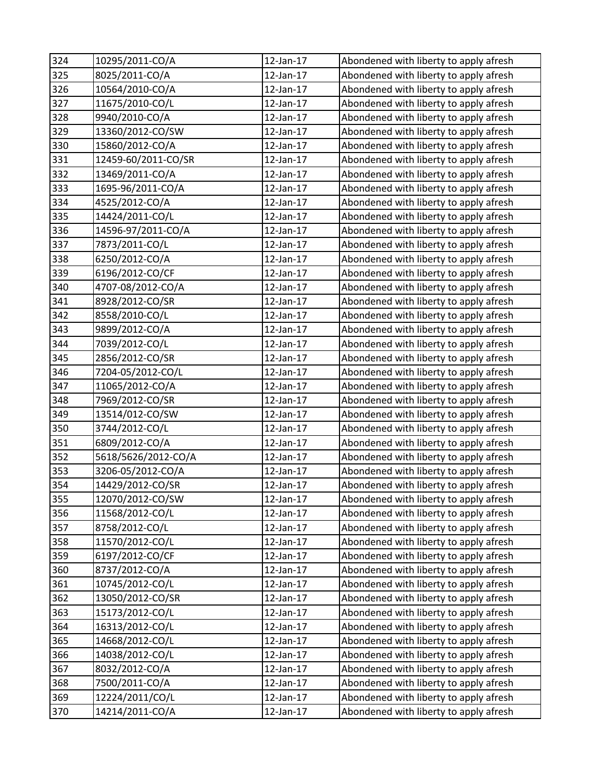| 324 | 10295/2011-CO/A     | 12-Jan-17 | Abondened with liberty to apply afresh |
|-----|---------------------|-----------|----------------------------------------|
| 325 | 8025/2011-CO/A      | 12-Jan-17 | Abondened with liberty to apply afresh |
| 326 | 10564/2010-CO/A     | 12-Jan-17 | Abondened with liberty to apply afresh |
| 327 | 11675/2010-CO/L     | 12-Jan-17 | Abondened with liberty to apply afresh |
| 328 | 9940/2010-CO/A      | 12-Jan-17 | Abondened with liberty to apply afresh |
| 329 | 13360/2012-CO/SW    | 12-Jan-17 | Abondened with liberty to apply afresh |
| 330 | 15860/2012-CO/A     | 12-Jan-17 | Abondened with liberty to apply afresh |
| 331 | 12459-60/2011-CO/SR | 12-Jan-17 | Abondened with liberty to apply afresh |
| 332 | 13469/2011-CO/A     | 12-Jan-17 | Abondened with liberty to apply afresh |
| 333 | 1695-96/2011-CO/A   | 12-Jan-17 | Abondened with liberty to apply afresh |
| 334 | 4525/2012-CO/A      | 12-Jan-17 | Abondened with liberty to apply afresh |
| 335 | 14424/2011-CO/L     | 12-Jan-17 | Abondened with liberty to apply afresh |
| 336 | 14596-97/2011-CO/A  | 12-Jan-17 | Abondened with liberty to apply afresh |
| 337 | 7873/2011-CO/L      | 12-Jan-17 | Abondened with liberty to apply afresh |
| 338 | 6250/2012-CO/A      | 12-Jan-17 | Abondened with liberty to apply afresh |
| 339 | 6196/2012-CO/CF     | 12-Jan-17 | Abondened with liberty to apply afresh |
| 340 | 4707-08/2012-CO/A   | 12-Jan-17 | Abondened with liberty to apply afresh |
| 341 | 8928/2012-CO/SR     | 12-Jan-17 | Abondened with liberty to apply afresh |
| 342 | 8558/2010-CO/L      | 12-Jan-17 | Abondened with liberty to apply afresh |
| 343 | 9899/2012-CO/A      | 12-Jan-17 | Abondened with liberty to apply afresh |
| 344 | 7039/2012-CO/L      | 12-Jan-17 | Abondened with liberty to apply afresh |
| 345 | 2856/2012-CO/SR     | 12-Jan-17 | Abondened with liberty to apply afresh |
| 346 | 7204-05/2012-CO/L   | 12-Jan-17 | Abondened with liberty to apply afresh |
| 347 | 11065/2012-CO/A     | 12-Jan-17 | Abondened with liberty to apply afresh |
| 348 | 7969/2012-CO/SR     | 12-Jan-17 | Abondened with liberty to apply afresh |
| 349 | 13514/012-CO/SW     | 12-Jan-17 | Abondened with liberty to apply afresh |
| 350 | 3744/2012-CO/L      | 12-Jan-17 | Abondened with liberty to apply afresh |
| 351 | 6809/2012-CO/A      | 12-Jan-17 | Abondened with liberty to apply afresh |
| 352 | 5618/5626/2012-CO/A | 12-Jan-17 | Abondened with liberty to apply afresh |
| 353 | 3206-05/2012-CO/A   | 12-Jan-17 | Abondened with liberty to apply afresh |
| 354 | 14429/2012-CO/SR    | 12-Jan-17 | Abondened with liberty to apply afresh |
| 355 | 12070/2012-CO/SW    | 12-Jan-17 | Abondened with liberty to apply afresh |
| 356 | 11568/2012-CO/L     | 12-Jan-17 | Abondened with liberty to apply afresh |
| 357 | 8758/2012-CO/L      | 12-Jan-17 | Abondened with liberty to apply afresh |
| 358 | 11570/2012-CO/L     | 12-Jan-17 | Abondened with liberty to apply afresh |
| 359 | 6197/2012-CO/CF     | 12-Jan-17 | Abondened with liberty to apply afresh |
| 360 | 8737/2012-CO/A      | 12-Jan-17 | Abondened with liberty to apply afresh |
| 361 | 10745/2012-CO/L     | 12-Jan-17 | Abondened with liberty to apply afresh |
| 362 | 13050/2012-CO/SR    | 12-Jan-17 | Abondened with liberty to apply afresh |
| 363 | 15173/2012-CO/L     | 12-Jan-17 | Abondened with liberty to apply afresh |
| 364 | 16313/2012-CO/L     | 12-Jan-17 | Abondened with liberty to apply afresh |
| 365 | 14668/2012-CO/L     | 12-Jan-17 | Abondened with liberty to apply afresh |
| 366 | 14038/2012-CO/L     | 12-Jan-17 | Abondened with liberty to apply afresh |
| 367 | 8032/2012-CO/A      | 12-Jan-17 | Abondened with liberty to apply afresh |
| 368 | 7500/2011-CO/A      | 12-Jan-17 | Abondened with liberty to apply afresh |
| 369 | 12224/2011/CO/L     | 12-Jan-17 | Abondened with liberty to apply afresh |
| 370 | 14214/2011-CO/A     | 12-Jan-17 | Abondened with liberty to apply afresh |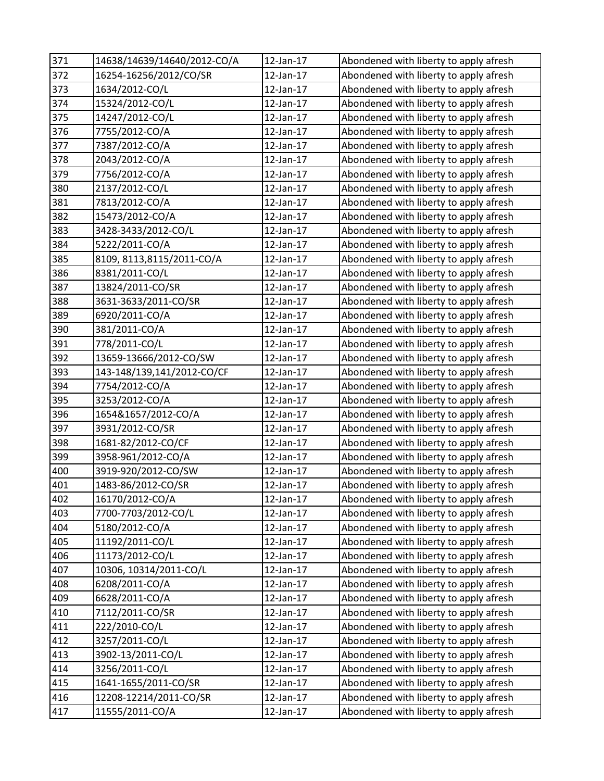| 371 | 14638/14639/14640/2012-CO/A | 12-Jan-17 | Abondened with liberty to apply afresh |
|-----|-----------------------------|-----------|----------------------------------------|
| 372 | 16254-16256/2012/CO/SR      | 12-Jan-17 | Abondened with liberty to apply afresh |
| 373 | 1634/2012-CO/L              | 12-Jan-17 | Abondened with liberty to apply afresh |
| 374 | 15324/2012-CO/L             | 12-Jan-17 | Abondened with liberty to apply afresh |
| 375 | 14247/2012-CO/L             | 12-Jan-17 | Abondened with liberty to apply afresh |
| 376 | 7755/2012-CO/A              | 12-Jan-17 | Abondened with liberty to apply afresh |
| 377 | 7387/2012-CO/A              | 12-Jan-17 | Abondened with liberty to apply afresh |
| 378 | 2043/2012-CO/A              | 12-Jan-17 | Abondened with liberty to apply afresh |
| 379 | 7756/2012-CO/A              | 12-Jan-17 | Abondened with liberty to apply afresh |
| 380 | 2137/2012-CO/L              | 12-Jan-17 | Abondened with liberty to apply afresh |
| 381 | 7813/2012-CO/A              | 12-Jan-17 | Abondened with liberty to apply afresh |
| 382 | 15473/2012-CO/A             | 12-Jan-17 | Abondened with liberty to apply afresh |
| 383 | 3428-3433/2012-CO/L         | 12-Jan-17 | Abondened with liberty to apply afresh |
| 384 | 5222/2011-CO/A              | 12-Jan-17 | Abondened with liberty to apply afresh |
| 385 | 8109, 8113, 8115/2011-CO/A  | 12-Jan-17 | Abondened with liberty to apply afresh |
| 386 | 8381/2011-CO/L              | 12-Jan-17 | Abondened with liberty to apply afresh |
| 387 | 13824/2011-CO/SR            | 12-Jan-17 | Abondened with liberty to apply afresh |
| 388 | 3631-3633/2011-CO/SR        | 12-Jan-17 | Abondened with liberty to apply afresh |
| 389 | 6920/2011-CO/A              | 12-Jan-17 | Abondened with liberty to apply afresh |
| 390 | 381/2011-CO/A               | 12-Jan-17 | Abondened with liberty to apply afresh |
| 391 | 778/2011-CO/L               | 12-Jan-17 | Abondened with liberty to apply afresh |
| 392 | 13659-13666/2012-CO/SW      | 12-Jan-17 | Abondened with liberty to apply afresh |
| 393 | 143-148/139,141/2012-CO/CF  | 12-Jan-17 | Abondened with liberty to apply afresh |
| 394 | 7754/2012-CO/A              | 12-Jan-17 | Abondened with liberty to apply afresh |
| 395 | 3253/2012-CO/A              | 12-Jan-17 | Abondened with liberty to apply afresh |
| 396 | 1654&1657/2012-CO/A         | 12-Jan-17 | Abondened with liberty to apply afresh |
| 397 | 3931/2012-CO/SR             | 12-Jan-17 | Abondened with liberty to apply afresh |
| 398 | 1681-82/2012-CO/CF          | 12-Jan-17 | Abondened with liberty to apply afresh |
| 399 | 3958-961/2012-CO/A          | 12-Jan-17 | Abondened with liberty to apply afresh |
| 400 | 3919-920/2012-CO/SW         | 12-Jan-17 | Abondened with liberty to apply afresh |
| 401 | 1483-86/2012-CO/SR          | 12-Jan-17 | Abondened with liberty to apply afresh |
| 402 | 16170/2012-CO/A             | 12-Jan-17 | Abondened with liberty to apply afresh |
| 403 | 7700-7703/2012-CO/L         | 12-Jan-17 | Abondened with liberty to apply afresh |
| 404 | 5180/2012-CO/A              | 12-Jan-17 | Abondened with liberty to apply afresh |
| 405 | 11192/2011-CO/L             | 12-Jan-17 | Abondened with liberty to apply afresh |
| 406 | 11173/2012-CO/L             | 12-Jan-17 | Abondened with liberty to apply afresh |
| 407 | 10306, 10314/2011-CO/L      | 12-Jan-17 | Abondened with liberty to apply afresh |
| 408 | 6208/2011-CO/A              | 12-Jan-17 | Abondened with liberty to apply afresh |
| 409 | 6628/2011-CO/A              | 12-Jan-17 | Abondened with liberty to apply afresh |
| 410 | 7112/2011-CO/SR             | 12-Jan-17 | Abondened with liberty to apply afresh |
| 411 | 222/2010-CO/L               | 12-Jan-17 | Abondened with liberty to apply afresh |
| 412 | 3257/2011-CO/L              | 12-Jan-17 | Abondened with liberty to apply afresh |
| 413 | 3902-13/2011-CO/L           | 12-Jan-17 | Abondened with liberty to apply afresh |
| 414 | 3256/2011-CO/L              | 12-Jan-17 | Abondened with liberty to apply afresh |
| 415 | 1641-1655/2011-CO/SR        | 12-Jan-17 | Abondened with liberty to apply afresh |
| 416 | 12208-12214/2011-CO/SR      | 12-Jan-17 | Abondened with liberty to apply afresh |
| 417 | 11555/2011-CO/A             | 12-Jan-17 | Abondened with liberty to apply afresh |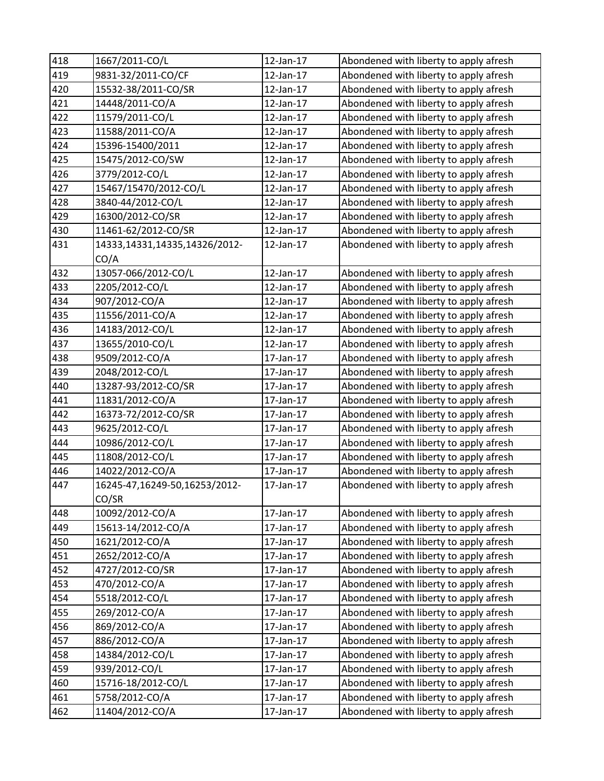| 418 | 1667/2011-CO/L                | 12-Jan-17 | Abondened with liberty to apply afresh |
|-----|-------------------------------|-----------|----------------------------------------|
| 419 | 9831-32/2011-CO/CF            | 12-Jan-17 | Abondened with liberty to apply afresh |
| 420 | 15532-38/2011-CO/SR           | 12-Jan-17 | Abondened with liberty to apply afresh |
| 421 | 14448/2011-CO/A               | 12-Jan-17 | Abondened with liberty to apply afresh |
| 422 | 11579/2011-CO/L               | 12-Jan-17 | Abondened with liberty to apply afresh |
| 423 | 11588/2011-CO/A               | 12-Jan-17 | Abondened with liberty to apply afresh |
| 424 | 15396-15400/2011              | 12-Jan-17 | Abondened with liberty to apply afresh |
| 425 | 15475/2012-CO/SW              | 12-Jan-17 | Abondened with liberty to apply afresh |
| 426 | 3779/2012-CO/L                | 12-Jan-17 | Abondened with liberty to apply afresh |
| 427 | 15467/15470/2012-CO/L         | 12-Jan-17 | Abondened with liberty to apply afresh |
| 428 | 3840-44/2012-CO/L             | 12-Jan-17 | Abondened with liberty to apply afresh |
| 429 | 16300/2012-CO/SR              | 12-Jan-17 | Abondened with liberty to apply afresh |
| 430 | 11461-62/2012-CO/SR           | 12-Jan-17 | Abondened with liberty to apply afresh |
| 431 | 14333,14331,14335,14326/2012- | 12-Jan-17 | Abondened with liberty to apply afresh |
|     | CO/A                          |           |                                        |
| 432 | 13057-066/2012-CO/L           | 12-Jan-17 | Abondened with liberty to apply afresh |
| 433 | 2205/2012-CO/L                | 12-Jan-17 | Abondened with liberty to apply afresh |
| 434 | 907/2012-CO/A                 | 12-Jan-17 | Abondened with liberty to apply afresh |
| 435 | 11556/2011-CO/A               | 12-Jan-17 | Abondened with liberty to apply afresh |
| 436 | 14183/2012-CO/L               | 12-Jan-17 | Abondened with liberty to apply afresh |
| 437 | 13655/2010-CO/L               | 12-Jan-17 | Abondened with liberty to apply afresh |
| 438 | 9509/2012-CO/A                | 17-Jan-17 | Abondened with liberty to apply afresh |
| 439 | 2048/2012-CO/L                | 17-Jan-17 | Abondened with liberty to apply afresh |
| 440 | 13287-93/2012-CO/SR           | 17-Jan-17 | Abondened with liberty to apply afresh |
| 441 | 11831/2012-CO/A               | 17-Jan-17 | Abondened with liberty to apply afresh |
| 442 | 16373-72/2012-CO/SR           | 17-Jan-17 | Abondened with liberty to apply afresh |
| 443 | 9625/2012-CO/L                | 17-Jan-17 | Abondened with liberty to apply afresh |
| 444 | 10986/2012-CO/L               | 17-Jan-17 | Abondened with liberty to apply afresh |
| 445 | 11808/2012-CO/L               | 17-Jan-17 | Abondened with liberty to apply afresh |
| 446 | 14022/2012-CO/A               | 17-Jan-17 | Abondened with liberty to apply afresh |
| 447 | 16245-47,16249-50,16253/2012- | 17-Jan-17 | Abondened with liberty to apply afresh |
|     | CO/SR                         |           |                                        |
| 448 | 10092/2012-CO/A               | 17-Jan-17 | Abondened with liberty to apply afresh |
| 449 | 15613-14/2012-CO/A            | 17-Jan-17 | Abondened with liberty to apply afresh |
| 450 | 1621/2012-CO/A                | 17-Jan-17 | Abondened with liberty to apply afresh |
| 451 | 2652/2012-CO/A                | 17-Jan-17 | Abondened with liberty to apply afresh |
| 452 | 4727/2012-CO/SR               | 17-Jan-17 | Abondened with liberty to apply afresh |
| 453 | 470/2012-CO/A                 | 17-Jan-17 | Abondened with liberty to apply afresh |
| 454 | 5518/2012-CO/L                | 17-Jan-17 | Abondened with liberty to apply afresh |
| 455 | 269/2012-CO/A                 | 17-Jan-17 | Abondened with liberty to apply afresh |
| 456 | 869/2012-CO/A                 | 17-Jan-17 | Abondened with liberty to apply afresh |
| 457 | 886/2012-CO/A                 | 17-Jan-17 | Abondened with liberty to apply afresh |
| 458 | 14384/2012-CO/L               | 17-Jan-17 | Abondened with liberty to apply afresh |
| 459 | 939/2012-CO/L                 | 17-Jan-17 | Abondened with liberty to apply afresh |
| 460 | 15716-18/2012-CO/L            | 17-Jan-17 | Abondened with liberty to apply afresh |
| 461 | 5758/2012-CO/A                | 17-Jan-17 | Abondened with liberty to apply afresh |
| 462 | 11404/2012-CO/A               | 17-Jan-17 | Abondened with liberty to apply afresh |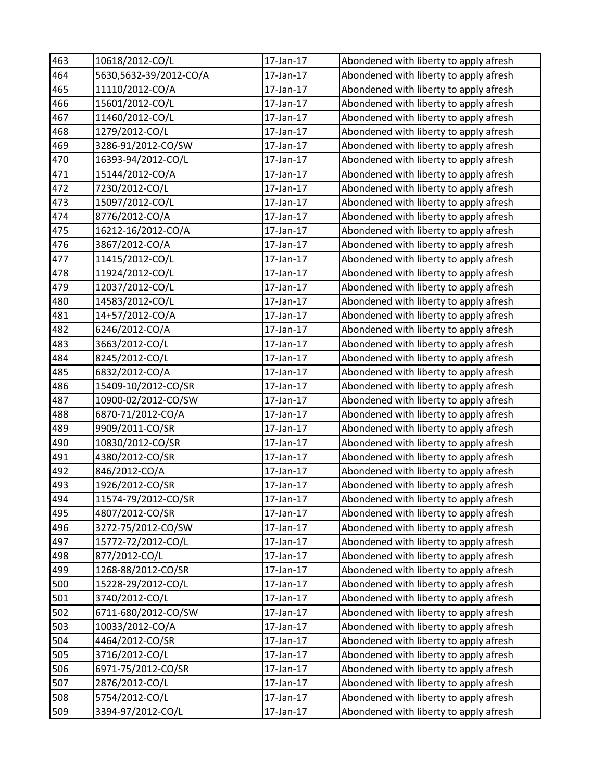| 463 | 10618/2012-CO/L        | 17-Jan-17 | Abondened with liberty to apply afresh |
|-----|------------------------|-----------|----------------------------------------|
| 464 | 5630,5632-39/2012-CO/A | 17-Jan-17 | Abondened with liberty to apply afresh |
| 465 | 11110/2012-CO/A        | 17-Jan-17 | Abondened with liberty to apply afresh |
| 466 | 15601/2012-CO/L        | 17-Jan-17 | Abondened with liberty to apply afresh |
| 467 | 11460/2012-CO/L        | 17-Jan-17 | Abondened with liberty to apply afresh |
| 468 | 1279/2012-CO/L         | 17-Jan-17 | Abondened with liberty to apply afresh |
| 469 | 3286-91/2012-CO/SW     | 17-Jan-17 | Abondened with liberty to apply afresh |
| 470 | 16393-94/2012-CO/L     | 17-Jan-17 | Abondened with liberty to apply afresh |
| 471 | 15144/2012-CO/A        | 17-Jan-17 | Abondened with liberty to apply afresh |
| 472 | 7230/2012-CO/L         | 17-Jan-17 | Abondened with liberty to apply afresh |
| 473 | 15097/2012-CO/L        | 17-Jan-17 | Abondened with liberty to apply afresh |
| 474 | 8776/2012-CO/A         | 17-Jan-17 | Abondened with liberty to apply afresh |
| 475 | 16212-16/2012-CO/A     | 17-Jan-17 | Abondened with liberty to apply afresh |
| 476 | 3867/2012-CO/A         | 17-Jan-17 | Abondened with liberty to apply afresh |
| 477 | 11415/2012-CO/L        | 17-Jan-17 | Abondened with liberty to apply afresh |
| 478 | 11924/2012-CO/L        | 17-Jan-17 | Abondened with liberty to apply afresh |
| 479 | 12037/2012-CO/L        | 17-Jan-17 | Abondened with liberty to apply afresh |
| 480 | 14583/2012-CO/L        | 17-Jan-17 | Abondened with liberty to apply afresh |
| 481 | 14+57/2012-CO/A        | 17-Jan-17 | Abondened with liberty to apply afresh |
| 482 | 6246/2012-CO/A         | 17-Jan-17 | Abondened with liberty to apply afresh |
| 483 | 3663/2012-CO/L         | 17-Jan-17 | Abondened with liberty to apply afresh |
| 484 | 8245/2012-CO/L         | 17-Jan-17 | Abondened with liberty to apply afresh |
| 485 | 6832/2012-CO/A         | 17-Jan-17 | Abondened with liberty to apply afresh |
| 486 | 15409-10/2012-CO/SR    | 17-Jan-17 | Abondened with liberty to apply afresh |
| 487 | 10900-02/2012-CO/SW    | 17-Jan-17 | Abondened with liberty to apply afresh |
| 488 | 6870-71/2012-CO/A      | 17-Jan-17 | Abondened with liberty to apply afresh |
| 489 | 9909/2011-CO/SR        | 17-Jan-17 | Abondened with liberty to apply afresh |
| 490 | 10830/2012-CO/SR       | 17-Jan-17 | Abondened with liberty to apply afresh |
| 491 | 4380/2012-CO/SR        | 17-Jan-17 | Abondened with liberty to apply afresh |
| 492 | 846/2012-CO/A          | 17-Jan-17 | Abondened with liberty to apply afresh |
| 493 | 1926/2012-CO/SR        | 17-Jan-17 | Abondened with liberty to apply afresh |
| 494 | 11574-79/2012-CO/SR    | 17-Jan-17 | Abondened with liberty to apply afresh |
| 495 | 4807/2012-CO/SR        | 17-Jan-17 | Abondened with liberty to apply afresh |
| 496 | 3272-75/2012-CO/SW     | 17-Jan-17 | Abondened with liberty to apply afresh |
| 497 | 15772-72/2012-CO/L     | 17-Jan-17 | Abondened with liberty to apply afresh |
| 498 | 877/2012-CO/L          | 17-Jan-17 | Abondened with liberty to apply afresh |
| 499 | 1268-88/2012-CO/SR     | 17-Jan-17 | Abondened with liberty to apply afresh |
| 500 | 15228-29/2012-CO/L     | 17-Jan-17 | Abondened with liberty to apply afresh |
| 501 | 3740/2012-CO/L         | 17-Jan-17 | Abondened with liberty to apply afresh |
| 502 | 6711-680/2012-CO/SW    | 17-Jan-17 | Abondened with liberty to apply afresh |
| 503 | 10033/2012-CO/A        | 17-Jan-17 | Abondened with liberty to apply afresh |
| 504 | 4464/2012-CO/SR        | 17-Jan-17 | Abondened with liberty to apply afresh |
| 505 | 3716/2012-CO/L         | 17-Jan-17 | Abondened with liberty to apply afresh |
| 506 | 6971-75/2012-CO/SR     | 17-Jan-17 | Abondened with liberty to apply afresh |
| 507 | 2876/2012-CO/L         | 17-Jan-17 | Abondened with liberty to apply afresh |
| 508 | 5754/2012-CO/L         | 17-Jan-17 | Abondened with liberty to apply afresh |
| 509 | 3394-97/2012-CO/L      | 17-Jan-17 | Abondened with liberty to apply afresh |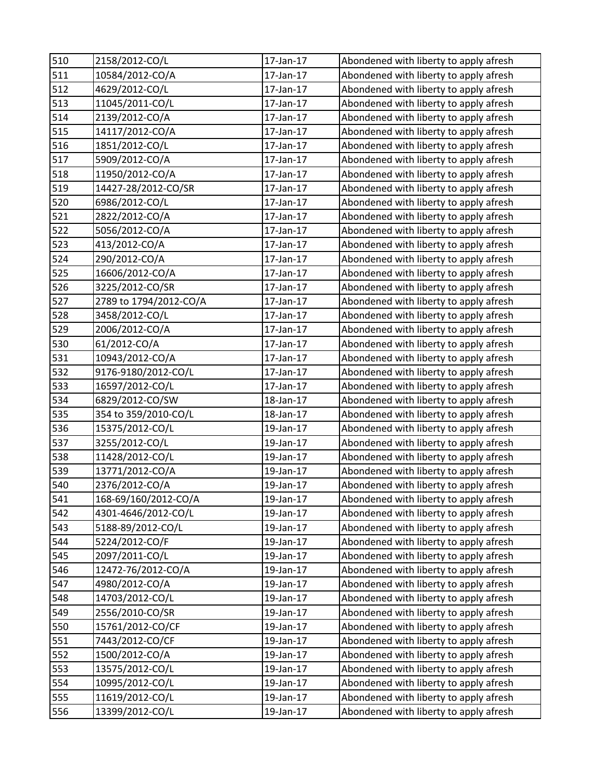| 510 | 2158/2012-CO/L         | 17-Jan-17 | Abondened with liberty to apply afresh |
|-----|------------------------|-----------|----------------------------------------|
| 511 | 10584/2012-CO/A        | 17-Jan-17 | Abondened with liberty to apply afresh |
| 512 | 4629/2012-CO/L         | 17-Jan-17 | Abondened with liberty to apply afresh |
| 513 | 11045/2011-CO/L        | 17-Jan-17 | Abondened with liberty to apply afresh |
| 514 | 2139/2012-CO/A         | 17-Jan-17 | Abondened with liberty to apply afresh |
| 515 | 14117/2012-CO/A        | 17-Jan-17 | Abondened with liberty to apply afresh |
| 516 | 1851/2012-CO/L         | 17-Jan-17 | Abondened with liberty to apply afresh |
| 517 | 5909/2012-CO/A         | 17-Jan-17 | Abondened with liberty to apply afresh |
| 518 | 11950/2012-CO/A        | 17-Jan-17 | Abondened with liberty to apply afresh |
| 519 | 14427-28/2012-CO/SR    | 17-Jan-17 | Abondened with liberty to apply afresh |
| 520 | 6986/2012-CO/L         | 17-Jan-17 | Abondened with liberty to apply afresh |
| 521 | 2822/2012-CO/A         | 17-Jan-17 | Abondened with liberty to apply afresh |
| 522 | 5056/2012-CO/A         | 17-Jan-17 | Abondened with liberty to apply afresh |
| 523 | 413/2012-CO/A          | 17-Jan-17 | Abondened with liberty to apply afresh |
| 524 | 290/2012-CO/A          | 17-Jan-17 | Abondened with liberty to apply afresh |
| 525 | 16606/2012-CO/A        | 17-Jan-17 | Abondened with liberty to apply afresh |
| 526 | 3225/2012-CO/SR        | 17-Jan-17 | Abondened with liberty to apply afresh |
| 527 | 2789 to 1794/2012-CO/A | 17-Jan-17 | Abondened with liberty to apply afresh |
| 528 | 3458/2012-CO/L         | 17-Jan-17 | Abondened with liberty to apply afresh |
| 529 | 2006/2012-CO/A         | 17-Jan-17 | Abondened with liberty to apply afresh |
| 530 | 61/2012-CO/A           | 17-Jan-17 | Abondened with liberty to apply afresh |
| 531 | 10943/2012-CO/A        | 17-Jan-17 | Abondened with liberty to apply afresh |
| 532 | 9176-9180/2012-CO/L    | 17-Jan-17 | Abondened with liberty to apply afresh |
| 533 | 16597/2012-CO/L        | 17-Jan-17 | Abondened with liberty to apply afresh |
| 534 | 6829/2012-CO/SW        | 18-Jan-17 | Abondened with liberty to apply afresh |
| 535 | 354 to 359/2010-CO/L   | 18-Jan-17 | Abondened with liberty to apply afresh |
| 536 | 15375/2012-CO/L        | 19-Jan-17 | Abondened with liberty to apply afresh |
| 537 | 3255/2012-CO/L         | 19-Jan-17 | Abondened with liberty to apply afresh |
| 538 | 11428/2012-CO/L        | 19-Jan-17 | Abondened with liberty to apply afresh |
| 539 | 13771/2012-CO/A        | 19-Jan-17 | Abondened with liberty to apply afresh |
| 540 | 2376/2012-CO/A         | 19-Jan-17 | Abondened with liberty to apply afresh |
| 541 | 168-69/160/2012-CO/A   | 19-Jan-17 | Abondened with liberty to apply afresh |
| 542 | 4301-4646/2012-CO/L    | 19-Jan-17 | Abondened with liberty to apply afresh |
| 543 | 5188-89/2012-CO/L      | 19-Jan-17 | Abondened with liberty to apply afresh |
| 544 | 5224/2012-CO/F         | 19-Jan-17 | Abondened with liberty to apply afresh |
| 545 | 2097/2011-CO/L         | 19-Jan-17 | Abondened with liberty to apply afresh |
| 546 | 12472-76/2012-CO/A     | 19-Jan-17 | Abondened with liberty to apply afresh |
| 547 | 4980/2012-CO/A         | 19-Jan-17 | Abondened with liberty to apply afresh |
| 548 | 14703/2012-CO/L        | 19-Jan-17 | Abondened with liberty to apply afresh |
| 549 | 2556/2010-CO/SR        | 19-Jan-17 | Abondened with liberty to apply afresh |
| 550 | 15761/2012-CO/CF       | 19-Jan-17 | Abondened with liberty to apply afresh |
| 551 | 7443/2012-CO/CF        | 19-Jan-17 | Abondened with liberty to apply afresh |
| 552 | 1500/2012-CO/A         | 19-Jan-17 | Abondened with liberty to apply afresh |
| 553 | 13575/2012-CO/L        | 19-Jan-17 | Abondened with liberty to apply afresh |
| 554 | 10995/2012-CO/L        | 19-Jan-17 | Abondened with liberty to apply afresh |
| 555 | 11619/2012-CO/L        | 19-Jan-17 | Abondened with liberty to apply afresh |
| 556 | 13399/2012-CO/L        | 19-Jan-17 | Abondened with liberty to apply afresh |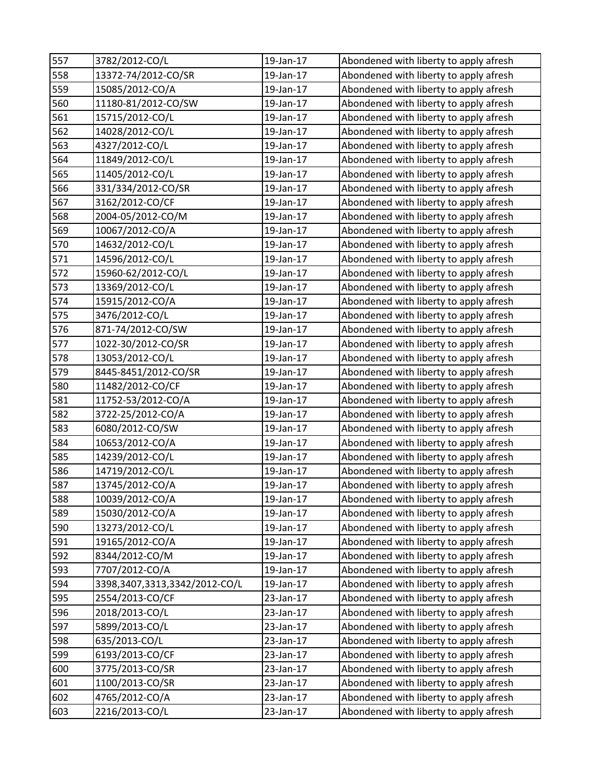| 557 | 3782/2012-CO/L                | 19-Jan-17 | Abondened with liberty to apply afresh |
|-----|-------------------------------|-----------|----------------------------------------|
| 558 | 13372-74/2012-CO/SR           | 19-Jan-17 | Abondened with liberty to apply afresh |
| 559 | 15085/2012-CO/A               | 19-Jan-17 | Abondened with liberty to apply afresh |
| 560 | 11180-81/2012-CO/SW           | 19-Jan-17 | Abondened with liberty to apply afresh |
| 561 | 15715/2012-CO/L               | 19-Jan-17 | Abondened with liberty to apply afresh |
| 562 | 14028/2012-CO/L               | 19-Jan-17 | Abondened with liberty to apply afresh |
| 563 | 4327/2012-CO/L                | 19-Jan-17 | Abondened with liberty to apply afresh |
| 564 | 11849/2012-CO/L               | 19-Jan-17 | Abondened with liberty to apply afresh |
| 565 | 11405/2012-CO/L               | 19-Jan-17 | Abondened with liberty to apply afresh |
| 566 | 331/334/2012-CO/SR            | 19-Jan-17 | Abondened with liberty to apply afresh |
| 567 | 3162/2012-CO/CF               | 19-Jan-17 | Abondened with liberty to apply afresh |
| 568 | 2004-05/2012-CO/M             | 19-Jan-17 | Abondened with liberty to apply afresh |
| 569 | 10067/2012-CO/A               | 19-Jan-17 | Abondened with liberty to apply afresh |
| 570 | 14632/2012-CO/L               | 19-Jan-17 | Abondened with liberty to apply afresh |
| 571 | 14596/2012-CO/L               | 19-Jan-17 | Abondened with liberty to apply afresh |
| 572 | 15960-62/2012-CO/L            | 19-Jan-17 | Abondened with liberty to apply afresh |
| 573 | 13369/2012-CO/L               | 19-Jan-17 | Abondened with liberty to apply afresh |
| 574 | 15915/2012-CO/A               | 19-Jan-17 | Abondened with liberty to apply afresh |
| 575 | 3476/2012-CO/L                | 19-Jan-17 | Abondened with liberty to apply afresh |
| 576 | 871-74/2012-CO/SW             | 19-Jan-17 | Abondened with liberty to apply afresh |
| 577 | 1022-30/2012-CO/SR            | 19-Jan-17 | Abondened with liberty to apply afresh |
| 578 | 13053/2012-CO/L               | 19-Jan-17 | Abondened with liberty to apply afresh |
| 579 | 8445-8451/2012-CO/SR          | 19-Jan-17 | Abondened with liberty to apply afresh |
| 580 | 11482/2012-CO/CF              | 19-Jan-17 | Abondened with liberty to apply afresh |
| 581 | 11752-53/2012-CO/A            | 19-Jan-17 | Abondened with liberty to apply afresh |
| 582 | 3722-25/2012-CO/A             | 19-Jan-17 | Abondened with liberty to apply afresh |
| 583 | 6080/2012-CO/SW               | 19-Jan-17 | Abondened with liberty to apply afresh |
| 584 | 10653/2012-CO/A               | 19-Jan-17 | Abondened with liberty to apply afresh |
| 585 | 14239/2012-CO/L               | 19-Jan-17 | Abondened with liberty to apply afresh |
| 586 | 14719/2012-CO/L               | 19-Jan-17 | Abondened with liberty to apply afresh |
| 587 | 13745/2012-CO/A               | 19-Jan-17 | Abondened with liberty to apply afresh |
| 588 | 10039/2012-CO/A               | 19-Jan-17 | Abondened with liberty to apply afresh |
| 589 | 15030/2012-CO/A               | 19-Jan-17 | Abondened with liberty to apply afresh |
| 590 | 13273/2012-CO/L               | 19-Jan-17 | Abondened with liberty to apply afresh |
| 591 | 19165/2012-CO/A               | 19-Jan-17 | Abondened with liberty to apply afresh |
| 592 | 8344/2012-CO/M                | 19-Jan-17 | Abondened with liberty to apply afresh |
| 593 | 7707/2012-CO/A                | 19-Jan-17 | Abondened with liberty to apply afresh |
| 594 | 3398,3407,3313,3342/2012-CO/L | 19-Jan-17 | Abondened with liberty to apply afresh |
| 595 | 2554/2013-CO/CF               | 23-Jan-17 | Abondened with liberty to apply afresh |
| 596 | 2018/2013-CO/L                | 23-Jan-17 | Abondened with liberty to apply afresh |
| 597 | 5899/2013-CO/L                | 23-Jan-17 | Abondened with liberty to apply afresh |
| 598 | 635/2013-CO/L                 | 23-Jan-17 | Abondened with liberty to apply afresh |
| 599 | 6193/2013-CO/CF               | 23-Jan-17 | Abondened with liberty to apply afresh |
| 600 | 3775/2013-CO/SR               | 23-Jan-17 | Abondened with liberty to apply afresh |
| 601 | 1100/2013-CO/SR               | 23-Jan-17 | Abondened with liberty to apply afresh |
| 602 | 4765/2012-CO/A                | 23-Jan-17 | Abondened with liberty to apply afresh |
| 603 | 2216/2013-CO/L                | 23-Jan-17 | Abondened with liberty to apply afresh |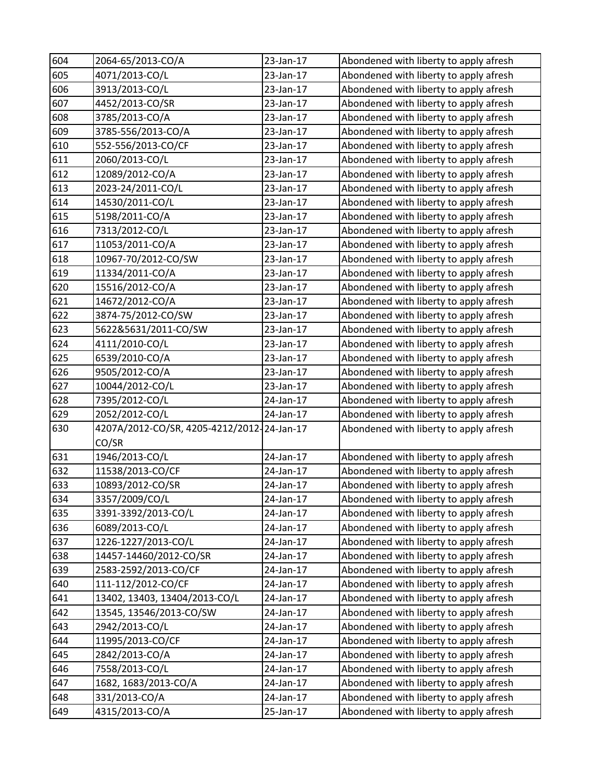| 604 | 2064-65/2013-CO/A                          | 23-Jan-17 | Abondened with liberty to apply afresh |
|-----|--------------------------------------------|-----------|----------------------------------------|
| 605 | 4071/2013-CO/L                             | 23-Jan-17 | Abondened with liberty to apply afresh |
| 606 | 3913/2013-CO/L                             | 23-Jan-17 | Abondened with liberty to apply afresh |
| 607 | 4452/2013-CO/SR                            | 23-Jan-17 | Abondened with liberty to apply afresh |
| 608 | 3785/2013-CO/A                             | 23-Jan-17 | Abondened with liberty to apply afresh |
| 609 | 3785-556/2013-CO/A                         | 23-Jan-17 | Abondened with liberty to apply afresh |
| 610 | 552-556/2013-CO/CF                         | 23-Jan-17 | Abondened with liberty to apply afresh |
| 611 | 2060/2013-CO/L                             | 23-Jan-17 | Abondened with liberty to apply afresh |
| 612 | 12089/2012-CO/A                            | 23-Jan-17 | Abondened with liberty to apply afresh |
| 613 | 2023-24/2011-CO/L                          | 23-Jan-17 | Abondened with liberty to apply afresh |
| 614 | 14530/2011-CO/L                            | 23-Jan-17 | Abondened with liberty to apply afresh |
| 615 | 5198/2011-CO/A                             | 23-Jan-17 | Abondened with liberty to apply afresh |
| 616 | 7313/2012-CO/L                             | 23-Jan-17 | Abondened with liberty to apply afresh |
| 617 | 11053/2011-CO/A                            | 23-Jan-17 | Abondened with liberty to apply afresh |
| 618 | 10967-70/2012-CO/SW                        | 23-Jan-17 | Abondened with liberty to apply afresh |
| 619 | 11334/2011-CO/A                            | 23-Jan-17 | Abondened with liberty to apply afresh |
| 620 | 15516/2012-CO/A                            | 23-Jan-17 | Abondened with liberty to apply afresh |
| 621 | 14672/2012-CO/A                            | 23-Jan-17 | Abondened with liberty to apply afresh |
| 622 | 3874-75/2012-CO/SW                         | 23-Jan-17 | Abondened with liberty to apply afresh |
| 623 | 5622&5631/2011-CO/SW                       | 23-Jan-17 | Abondened with liberty to apply afresh |
| 624 | 4111/2010-CO/L                             | 23-Jan-17 | Abondened with liberty to apply afresh |
| 625 | 6539/2010-CO/A                             | 23-Jan-17 | Abondened with liberty to apply afresh |
| 626 | 9505/2012-CO/A                             | 23-Jan-17 | Abondened with liberty to apply afresh |
| 627 | 10044/2012-CO/L                            | 23-Jan-17 | Abondened with liberty to apply afresh |
| 628 | 7395/2012-CO/L                             | 24-Jan-17 | Abondened with liberty to apply afresh |
| 629 | 2052/2012-CO/L                             | 24-Jan-17 | Abondened with liberty to apply afresh |
| 630 | 4207A/2012-CO/SR, 4205-4212/2012-24-Jan-17 |           | Abondened with liberty to apply afresh |
|     | CO/SR                                      |           |                                        |
| 631 | 1946/2013-CO/L                             | 24-Jan-17 | Abondened with liberty to apply afresh |
| 632 | 11538/2013-CO/CF                           | 24-Jan-17 | Abondened with liberty to apply afresh |
| 633 | 10893/2012-CO/SR                           | 24-Jan-17 | Abondened with liberty to apply afresh |
| 634 | 3357/2009/CO/L                             | 24-Jan-17 | Abondened with liberty to apply afresh |
| 635 | 3391-3392/2013-CO/L                        | 24-Jan-17 | Abondened with liberty to apply afresh |
| 636 | 6089/2013-CO/L                             | 24-Jan-17 | Abondened with liberty to apply afresh |
| 637 | 1226-1227/2013-CO/L                        | 24-Jan-17 | Abondened with liberty to apply afresh |
| 638 | 14457-14460/2012-CO/SR                     | 24-Jan-17 | Abondened with liberty to apply afresh |
| 639 | 2583-2592/2013-CO/CF                       | 24-Jan-17 | Abondened with liberty to apply afresh |
| 640 | 111-112/2012-CO/CF                         | 24-Jan-17 | Abondened with liberty to apply afresh |
| 641 | 13402, 13403, 13404/2013-CO/L              | 24-Jan-17 | Abondened with liberty to apply afresh |
| 642 | 13545, 13546/2013-CO/SW                    | 24-Jan-17 | Abondened with liberty to apply afresh |
| 643 | 2942/2013-CO/L                             | 24-Jan-17 | Abondened with liberty to apply afresh |
| 644 | 11995/2013-CO/CF                           | 24-Jan-17 | Abondened with liberty to apply afresh |
| 645 | 2842/2013-CO/A                             | 24-Jan-17 | Abondened with liberty to apply afresh |
| 646 | 7558/2013-CO/L                             | 24-Jan-17 | Abondened with liberty to apply afresh |
| 647 | 1682, 1683/2013-CO/A                       | 24-Jan-17 | Abondened with liberty to apply afresh |
| 648 | 331/2013-CO/A                              | 24-Jan-17 | Abondened with liberty to apply afresh |
| 649 | 4315/2013-CO/A                             | 25-Jan-17 | Abondened with liberty to apply afresh |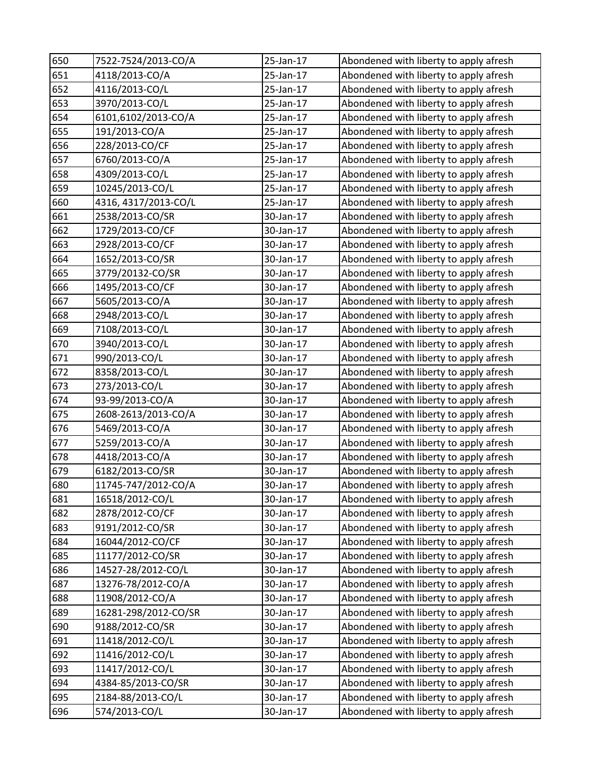| 650 | 7522-7524/2013-CO/A  | 25-Jan-17 | Abondened with liberty to apply afresh |
|-----|----------------------|-----------|----------------------------------------|
| 651 | 4118/2013-CO/A       | 25-Jan-17 | Abondened with liberty to apply afresh |
| 652 | 4116/2013-CO/L       | 25-Jan-17 | Abondened with liberty to apply afresh |
| 653 | 3970/2013-CO/L       | 25-Jan-17 | Abondened with liberty to apply afresh |
| 654 | 6101,6102/2013-CO/A  | 25-Jan-17 | Abondened with liberty to apply afresh |
| 655 | 191/2013-CO/A        | 25-Jan-17 | Abondened with liberty to apply afresh |
| 656 | 228/2013-CO/CF       | 25-Jan-17 | Abondened with liberty to apply afresh |
| 657 | 6760/2013-CO/A       | 25-Jan-17 | Abondened with liberty to apply afresh |
| 658 | 4309/2013-CO/L       | 25-Jan-17 | Abondened with liberty to apply afresh |
| 659 | 10245/2013-CO/L      | 25-Jan-17 | Abondened with liberty to apply afresh |
| 660 | 4316, 4317/2013-CO/L | 25-Jan-17 | Abondened with liberty to apply afresh |
| 661 | 2538/2013-CO/SR      | 30-Jan-17 | Abondened with liberty to apply afresh |
| 662 | 1729/2013-CO/CF      | 30-Jan-17 | Abondened with liberty to apply afresh |
| 663 | 2928/2013-CO/CF      | 30-Jan-17 | Abondened with liberty to apply afresh |
| 664 | 1652/2013-CO/SR      | 30-Jan-17 | Abondened with liberty to apply afresh |
| 665 | 3779/20132-CO/SR     | 30-Jan-17 | Abondened with liberty to apply afresh |
| 666 | 1495/2013-CO/CF      | 30-Jan-17 | Abondened with liberty to apply afresh |
| 667 | 5605/2013-CO/A       | 30-Jan-17 | Abondened with liberty to apply afresh |
| 668 | 2948/2013-CO/L       | 30-Jan-17 | Abondened with liberty to apply afresh |
| 669 | 7108/2013-CO/L       | 30-Jan-17 | Abondened with liberty to apply afresh |
| 670 | 3940/2013-CO/L       | 30-Jan-17 | Abondened with liberty to apply afresh |
| 671 | 990/2013-CO/L        | 30-Jan-17 | Abondened with liberty to apply afresh |
| 672 | 8358/2013-CO/L       | 30-Jan-17 | Abondened with liberty to apply afresh |
| 673 | 273/2013-CO/L        | 30-Jan-17 | Abondened with liberty to apply afresh |
| 674 | 93-99/2013-CO/A      | 30-Jan-17 | Abondened with liberty to apply afresh |
| 675 | 2608-2613/2013-CO/A  | 30-Jan-17 | Abondened with liberty to apply afresh |
| 676 | 5469/2013-CO/A       | 30-Jan-17 | Abondened with liberty to apply afresh |
| 677 | 5259/2013-CO/A       | 30-Jan-17 | Abondened with liberty to apply afresh |
| 678 | 4418/2013-CO/A       | 30-Jan-17 | Abondened with liberty to apply afresh |
| 679 | 6182/2013-CO/SR      | 30-Jan-17 | Abondened with liberty to apply afresh |
| 680 | 11745-747/2012-CO/A  | 30-Jan-17 | Abondened with liberty to apply afresh |
| 681 | 16518/2012-CO/L      | 30-Jan-17 | Abondened with liberty to apply afresh |
| 682 | 2878/2012-CO/CF      | 30-Jan-17 | Abondened with liberty to apply afresh |
| 683 | 9191/2012-CO/SR      | 30-Jan-17 | Abondened with liberty to apply afresh |
| 684 | 16044/2012-CO/CF     | 30-Jan-17 | Abondened with liberty to apply afresh |
| 685 | 11177/2012-CO/SR     | 30-Jan-17 | Abondened with liberty to apply afresh |
| 686 | 14527-28/2012-CO/L   | 30-Jan-17 | Abondened with liberty to apply afresh |
| 687 | 13276-78/2012-CO/A   | 30-Jan-17 | Abondened with liberty to apply afresh |
| 688 | 11908/2012-CO/A      | 30-Jan-17 | Abondened with liberty to apply afresh |
| 689 | 16281-298/2012-CO/SR | 30-Jan-17 | Abondened with liberty to apply afresh |
| 690 | 9188/2012-CO/SR      | 30-Jan-17 | Abondened with liberty to apply afresh |
| 691 | 11418/2012-CO/L      | 30-Jan-17 | Abondened with liberty to apply afresh |
| 692 | 11416/2012-CO/L      | 30-Jan-17 | Abondened with liberty to apply afresh |
| 693 | 11417/2012-CO/L      | 30-Jan-17 | Abondened with liberty to apply afresh |
| 694 | 4384-85/2013-CO/SR   | 30-Jan-17 | Abondened with liberty to apply afresh |
| 695 | 2184-88/2013-CO/L    | 30-Jan-17 | Abondened with liberty to apply afresh |
| 696 | 574/2013-CO/L        | 30-Jan-17 | Abondened with liberty to apply afresh |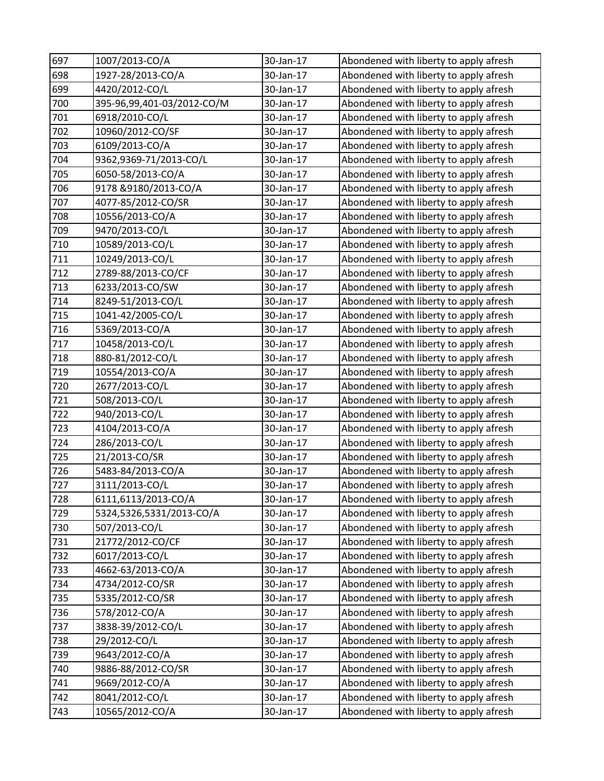| 697 | 1007/2013-CO/A             | 30-Jan-17 | Abondened with liberty to apply afresh |
|-----|----------------------------|-----------|----------------------------------------|
| 698 | 1927-28/2013-CO/A          | 30-Jan-17 | Abondened with liberty to apply afresh |
| 699 | 4420/2012-CO/L             | 30-Jan-17 | Abondened with liberty to apply afresh |
| 700 | 395-96,99,401-03/2012-CO/M | 30-Jan-17 | Abondened with liberty to apply afresh |
| 701 | 6918/2010-CO/L             | 30-Jan-17 | Abondened with liberty to apply afresh |
| 702 | 10960/2012-CO/SF           | 30-Jan-17 | Abondened with liberty to apply afresh |
| 703 | 6109/2013-CO/A             | 30-Jan-17 | Abondened with liberty to apply afresh |
| 704 | 9362,9369-71/2013-CO/L     | 30-Jan-17 | Abondened with liberty to apply afresh |
| 705 | 6050-58/2013-CO/A          | 30-Jan-17 | Abondened with liberty to apply afresh |
| 706 | 9178 & 9180/2013-CO/A      | 30-Jan-17 | Abondened with liberty to apply afresh |
| 707 | 4077-85/2012-CO/SR         | 30-Jan-17 | Abondened with liberty to apply afresh |
| 708 | 10556/2013-CO/A            | 30-Jan-17 | Abondened with liberty to apply afresh |
| 709 | 9470/2013-CO/L             | 30-Jan-17 | Abondened with liberty to apply afresh |
| 710 | 10589/2013-CO/L            | 30-Jan-17 | Abondened with liberty to apply afresh |
| 711 | 10249/2013-CO/L            | 30-Jan-17 | Abondened with liberty to apply afresh |
| 712 | 2789-88/2013-CO/CF         | 30-Jan-17 | Abondened with liberty to apply afresh |
| 713 | 6233/2013-CO/SW            | 30-Jan-17 | Abondened with liberty to apply afresh |
| 714 | 8249-51/2013-CO/L          | 30-Jan-17 | Abondened with liberty to apply afresh |
| 715 | 1041-42/2005-CO/L          | 30-Jan-17 | Abondened with liberty to apply afresh |
| 716 | 5369/2013-CO/A             | 30-Jan-17 | Abondened with liberty to apply afresh |
| 717 | 10458/2013-CO/L            | 30-Jan-17 | Abondened with liberty to apply afresh |
| 718 | 880-81/2012-CO/L           | 30-Jan-17 | Abondened with liberty to apply afresh |
| 719 | 10554/2013-CO/A            | 30-Jan-17 | Abondened with liberty to apply afresh |
| 720 | 2677/2013-CO/L             | 30-Jan-17 | Abondened with liberty to apply afresh |
| 721 | 508/2013-CO/L              | 30-Jan-17 | Abondened with liberty to apply afresh |
| 722 | 940/2013-CO/L              | 30-Jan-17 | Abondened with liberty to apply afresh |
| 723 | 4104/2013-CO/A             | 30-Jan-17 | Abondened with liberty to apply afresh |
| 724 | 286/2013-CO/L              | 30-Jan-17 | Abondened with liberty to apply afresh |
| 725 | 21/2013-CO/SR              | 30-Jan-17 | Abondened with liberty to apply afresh |
| 726 | 5483-84/2013-CO/A          | 30-Jan-17 | Abondened with liberty to apply afresh |
| 727 | 3111/2013-CO/L             | 30-Jan-17 | Abondened with liberty to apply afresh |
| 728 | 6111,6113/2013-CO/A        | 30-Jan-17 | Abondened with liberty to apply afresh |
| 729 | 5324,5326,5331/2013-CO/A   | 30-Jan-17 | Abondened with liberty to apply afresh |
| 730 | 507/2013-CO/L              | 30-Jan-17 | Abondened with liberty to apply afresh |
| 731 | 21772/2012-CO/CF           | 30-Jan-17 | Abondened with liberty to apply afresh |
| 732 | 6017/2013-CO/L             | 30-Jan-17 | Abondened with liberty to apply afresh |
| 733 | 4662-63/2013-CO/A          | 30-Jan-17 | Abondened with liberty to apply afresh |
| 734 | 4734/2012-CO/SR            | 30-Jan-17 | Abondened with liberty to apply afresh |
| 735 | 5335/2012-CO/SR            | 30-Jan-17 | Abondened with liberty to apply afresh |
| 736 | 578/2012-CO/A              | 30-Jan-17 | Abondened with liberty to apply afresh |
| 737 | 3838-39/2012-CO/L          | 30-Jan-17 | Abondened with liberty to apply afresh |
| 738 | 29/2012-CO/L               | 30-Jan-17 | Abondened with liberty to apply afresh |
| 739 | 9643/2012-CO/A             | 30-Jan-17 | Abondened with liberty to apply afresh |
| 740 | 9886-88/2012-CO/SR         | 30-Jan-17 | Abondened with liberty to apply afresh |
| 741 | 9669/2012-CO/A             | 30-Jan-17 | Abondened with liberty to apply afresh |
| 742 | 8041/2012-CO/L             | 30-Jan-17 | Abondened with liberty to apply afresh |
| 743 | 10565/2012-CO/A            | 30-Jan-17 | Abondened with liberty to apply afresh |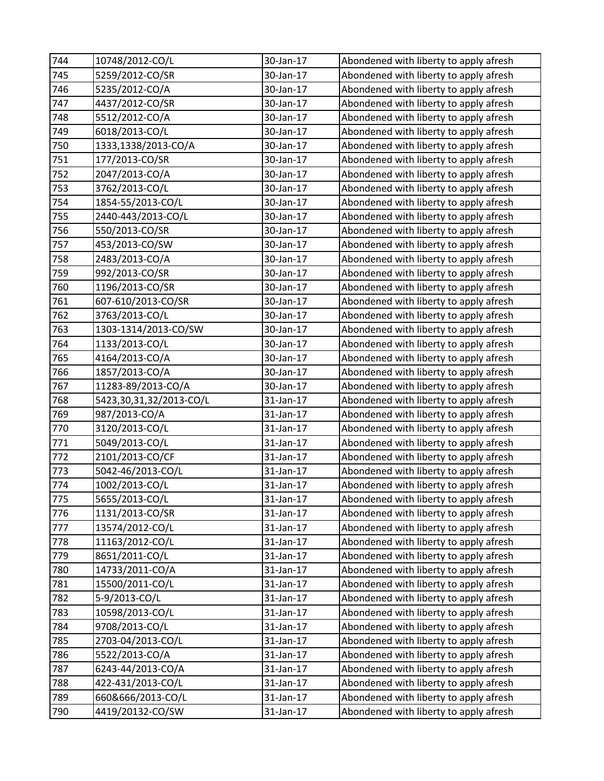| 744 | 10748/2012-CO/L         | 30-Jan-17 | Abondened with liberty to apply afresh |
|-----|-------------------------|-----------|----------------------------------------|
| 745 | 5259/2012-CO/SR         | 30-Jan-17 | Abondened with liberty to apply afresh |
| 746 | 5235/2012-CO/A          | 30-Jan-17 | Abondened with liberty to apply afresh |
| 747 | 4437/2012-CO/SR         | 30-Jan-17 | Abondened with liberty to apply afresh |
| 748 | 5512/2012-CO/A          | 30-Jan-17 | Abondened with liberty to apply afresh |
| 749 | 6018/2013-CO/L          | 30-Jan-17 | Abondened with liberty to apply afresh |
| 750 | 1333,1338/2013-CO/A     | 30-Jan-17 | Abondened with liberty to apply afresh |
| 751 | 177/2013-CO/SR          | 30-Jan-17 | Abondened with liberty to apply afresh |
| 752 | 2047/2013-CO/A          | 30-Jan-17 | Abondened with liberty to apply afresh |
| 753 | 3762/2013-CO/L          | 30-Jan-17 | Abondened with liberty to apply afresh |
| 754 | 1854-55/2013-CO/L       | 30-Jan-17 | Abondened with liberty to apply afresh |
| 755 | 2440-443/2013-CO/L      | 30-Jan-17 | Abondened with liberty to apply afresh |
| 756 | 550/2013-CO/SR          | 30-Jan-17 | Abondened with liberty to apply afresh |
| 757 | 453/2013-CO/SW          | 30-Jan-17 | Abondened with liberty to apply afresh |
| 758 | 2483/2013-CO/A          | 30-Jan-17 | Abondened with liberty to apply afresh |
| 759 | 992/2013-CO/SR          | 30-Jan-17 | Abondened with liberty to apply afresh |
| 760 | 1196/2013-CO/SR         | 30-Jan-17 | Abondened with liberty to apply afresh |
| 761 | 607-610/2013-CO/SR      | 30-Jan-17 | Abondened with liberty to apply afresh |
| 762 | 3763/2013-CO/L          | 30-Jan-17 | Abondened with liberty to apply afresh |
| 763 | 1303-1314/2013-CO/SW    | 30-Jan-17 | Abondened with liberty to apply afresh |
| 764 | 1133/2013-CO/L          | 30-Jan-17 | Abondened with liberty to apply afresh |
| 765 | 4164/2013-CO/A          | 30-Jan-17 | Abondened with liberty to apply afresh |
| 766 | 1857/2013-CO/A          | 30-Jan-17 | Abondened with liberty to apply afresh |
| 767 | 11283-89/2013-CO/A      | 30-Jan-17 | Abondened with liberty to apply afresh |
| 768 | 5423,30,31,32/2013-CO/L | 31-Jan-17 | Abondened with liberty to apply afresh |
| 769 | 987/2013-CO/A           | 31-Jan-17 | Abondened with liberty to apply afresh |
| 770 | 3120/2013-CO/L          | 31-Jan-17 | Abondened with liberty to apply afresh |
| 771 | 5049/2013-CO/L          | 31-Jan-17 | Abondened with liberty to apply afresh |
| 772 | 2101/2013-CO/CF         | 31-Jan-17 | Abondened with liberty to apply afresh |
| 773 | 5042-46/2013-CO/L       | 31-Jan-17 | Abondened with liberty to apply afresh |
| 774 | 1002/2013-CO/L          | 31-Jan-17 | Abondened with liberty to apply afresh |
| 775 | 5655/2013-CO/L          | 31-Jan-17 | Abondened with liberty to apply afresh |
| 776 | 1131/2013-CO/SR         | 31-Jan-17 | Abondened with liberty to apply afresh |
| 777 | 13574/2012-CO/L         | 31-Jan-17 | Abondened with liberty to apply afresh |
| 778 | 11163/2012-CO/L         | 31-Jan-17 | Abondened with liberty to apply afresh |
| 779 | 8651/2011-CO/L          | 31-Jan-17 | Abondened with liberty to apply afresh |
| 780 | 14733/2011-CO/A         | 31-Jan-17 | Abondened with liberty to apply afresh |
| 781 | 15500/2011-CO/L         | 31-Jan-17 | Abondened with liberty to apply afresh |
| 782 | 5-9/2013-CO/L           | 31-Jan-17 | Abondened with liberty to apply afresh |
| 783 | 10598/2013-CO/L         | 31-Jan-17 | Abondened with liberty to apply afresh |
| 784 | 9708/2013-CO/L          | 31-Jan-17 | Abondened with liberty to apply afresh |
| 785 | 2703-04/2013-CO/L       | 31-Jan-17 | Abondened with liberty to apply afresh |
| 786 | 5522/2013-CO/A          | 31-Jan-17 | Abondened with liberty to apply afresh |
| 787 | 6243-44/2013-CO/A       | 31-Jan-17 | Abondened with liberty to apply afresh |
| 788 | 422-431/2013-CO/L       | 31-Jan-17 | Abondened with liberty to apply afresh |
| 789 | 660&666/2013-CO/L       | 31-Jan-17 | Abondened with liberty to apply afresh |
| 790 | 4419/20132-CO/SW        | 31-Jan-17 | Abondened with liberty to apply afresh |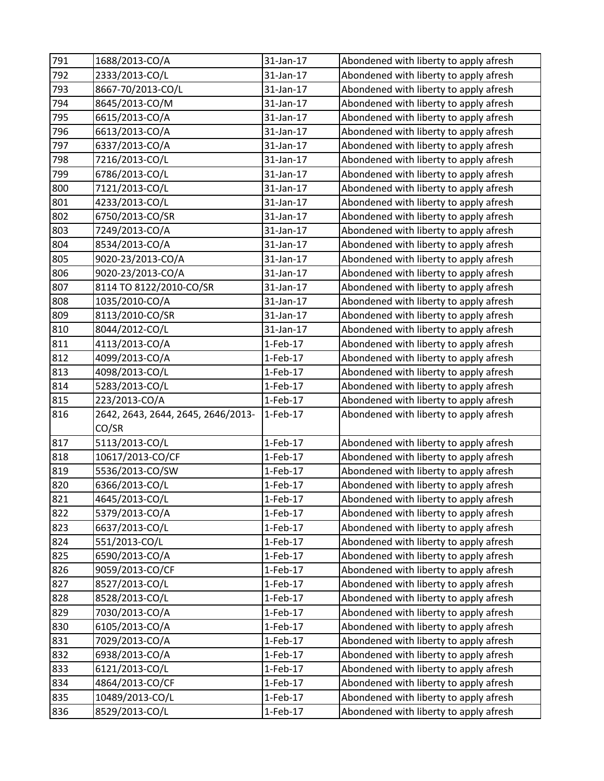| 791 | 1688/2013-CO/A                     | 31-Jan-17  | Abondened with liberty to apply afresh |
|-----|------------------------------------|------------|----------------------------------------|
| 792 | 2333/2013-CO/L                     | 31-Jan-17  | Abondened with liberty to apply afresh |
| 793 | 8667-70/2013-CO/L                  | 31-Jan-17  | Abondened with liberty to apply afresh |
| 794 | 8645/2013-CO/M                     | 31-Jan-17  | Abondened with liberty to apply afresh |
| 795 | 6615/2013-CO/A                     | 31-Jan-17  | Abondened with liberty to apply afresh |
| 796 | 6613/2013-CO/A                     | 31-Jan-17  | Abondened with liberty to apply afresh |
| 797 | 6337/2013-CO/A                     | 31-Jan-17  | Abondened with liberty to apply afresh |
| 798 | 7216/2013-CO/L                     | 31-Jan-17  | Abondened with liberty to apply afresh |
| 799 | 6786/2013-CO/L                     | 31-Jan-17  | Abondened with liberty to apply afresh |
| 800 | 7121/2013-CO/L                     | 31-Jan-17  | Abondened with liberty to apply afresh |
| 801 | 4233/2013-CO/L                     | 31-Jan-17  | Abondened with liberty to apply afresh |
| 802 | 6750/2013-CO/SR                    | 31-Jan-17  | Abondened with liberty to apply afresh |
| 803 | 7249/2013-CO/A                     | 31-Jan-17  | Abondened with liberty to apply afresh |
| 804 | 8534/2013-CO/A                     | 31-Jan-17  | Abondened with liberty to apply afresh |
| 805 | 9020-23/2013-CO/A                  | 31-Jan-17  | Abondened with liberty to apply afresh |
| 806 | 9020-23/2013-CO/A                  | 31-Jan-17  | Abondened with liberty to apply afresh |
| 807 | 8114 TO 8122/2010-CO/SR            | 31-Jan-17  | Abondened with liberty to apply afresh |
| 808 | 1035/2010-CO/A                     | 31-Jan-17  | Abondened with liberty to apply afresh |
| 809 | 8113/2010-CO/SR                    | 31-Jan-17  | Abondened with liberty to apply afresh |
| 810 | 8044/2012-CO/L                     | 31-Jan-17  | Abondened with liberty to apply afresh |
| 811 | 4113/2013-CO/A                     | $1-Feb-17$ | Abondened with liberty to apply afresh |
| 812 | 4099/2013-CO/A                     | $1-Feb-17$ | Abondened with liberty to apply afresh |
| 813 | 4098/2013-CO/L                     | $1-Feb-17$ | Abondened with liberty to apply afresh |
| 814 | 5283/2013-CO/L                     | 1-Feb-17   | Abondened with liberty to apply afresh |
| 815 | 223/2013-CO/A                      | $1-Feb-17$ | Abondened with liberty to apply afresh |
| 816 | 2642, 2643, 2644, 2645, 2646/2013- | 1-Feb-17   | Abondened with liberty to apply afresh |
|     | CO/SR                              |            |                                        |
| 817 | 5113/2013-CO/L                     | $1-Feb-17$ | Abondened with liberty to apply afresh |
| 818 | 10617/2013-CO/CF                   | $1-Feb-17$ | Abondened with liberty to apply afresh |
| 819 | 5536/2013-CO/SW                    | $1-Feb-17$ | Abondened with liberty to apply afresh |
| 820 | 6366/2013-CO/L                     | 1-Feb-17   | Abondened with liberty to apply afresh |
| 821 | 4645/2013-CO/L                     | $1-Feb-17$ | Abondened with liberty to apply afresh |
| 822 | 5379/2013-CO/A                     | $1-Feb-17$ | Abondened with liberty to apply afresh |
| 823 | 6637/2013-CO/L                     | $1-Feb-17$ | Abondened with liberty to apply afresh |
| 824 | 551/2013-CO/L                      | $1-Feb-17$ | Abondened with liberty to apply afresh |
| 825 | 6590/2013-CO/A                     | $1-Feb-17$ | Abondened with liberty to apply afresh |
| 826 | 9059/2013-CO/CF                    | $1-Feb-17$ | Abondened with liberty to apply afresh |
| 827 | 8527/2013-CO/L                     | $1-Feb-17$ | Abondened with liberty to apply afresh |
| 828 | 8528/2013-CO/L                     | $1-Feb-17$ | Abondened with liberty to apply afresh |
| 829 | 7030/2013-CO/A                     | $1-Feb-17$ | Abondened with liberty to apply afresh |
| 830 | 6105/2013-CO/A                     | $1-Feb-17$ | Abondened with liberty to apply afresh |
| 831 | 7029/2013-CO/A                     | $1-Feb-17$ | Abondened with liberty to apply afresh |
| 832 | 6938/2013-CO/A                     | $1-Feb-17$ | Abondened with liberty to apply afresh |
| 833 | 6121/2013-CO/L                     | $1-Feb-17$ | Abondened with liberty to apply afresh |
| 834 | 4864/2013-CO/CF                    | $1-Feb-17$ | Abondened with liberty to apply afresh |
| 835 | 10489/2013-CO/L                    | $1-Feb-17$ | Abondened with liberty to apply afresh |
| 836 | 8529/2013-CO/L                     | $1-Feb-17$ | Abondened with liberty to apply afresh |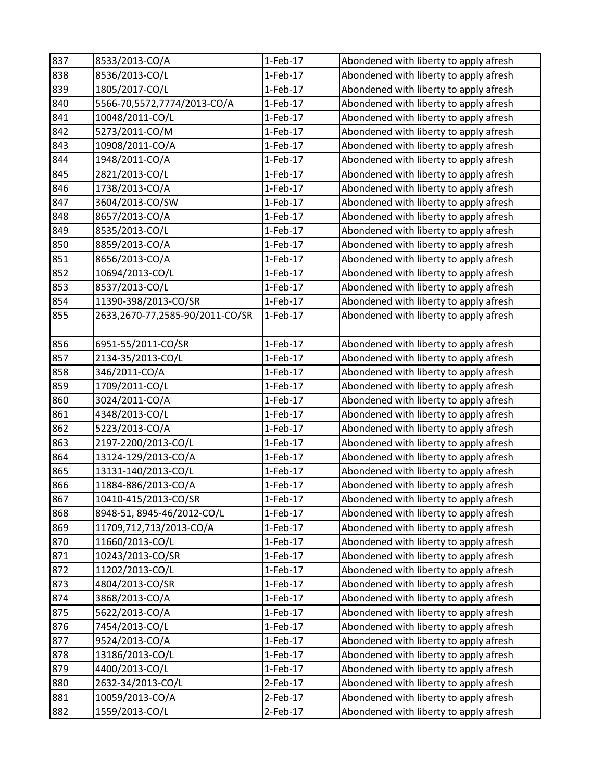| 837 | 8533/2013-CO/A                  | $1-Feb-17$ | Abondened with liberty to apply afresh |
|-----|---------------------------------|------------|----------------------------------------|
| 838 | 8536/2013-CO/L                  | $1-Feb-17$ | Abondened with liberty to apply afresh |
| 839 | 1805/2017-CO/L                  | $1-Feb-17$ | Abondened with liberty to apply afresh |
| 840 | 5566-70,5572,7774/2013-CO/A     | 1-Feb-17   | Abondened with liberty to apply afresh |
| 841 | 10048/2011-CO/L                 | $1-Feb-17$ | Abondened with liberty to apply afresh |
| 842 | 5273/2011-CO/M                  | $1-Feb-17$ | Abondened with liberty to apply afresh |
| 843 | 10908/2011-CO/A                 | $1-Feb-17$ | Abondened with liberty to apply afresh |
| 844 | 1948/2011-CO/A                  | $1-Feb-17$ | Abondened with liberty to apply afresh |
| 845 | 2821/2013-CO/L                  | 1-Feb-17   | Abondened with liberty to apply afresh |
| 846 | 1738/2013-CO/A                  | $1-Feb-17$ | Abondened with liberty to apply afresh |
| 847 | 3604/2013-CO/SW                 | $1-Feb-17$ | Abondened with liberty to apply afresh |
| 848 | 8657/2013-CO/A                  | $1-Feb-17$ | Abondened with liberty to apply afresh |
| 849 | 8535/2013-CO/L                  | 1-Feb-17   | Abondened with liberty to apply afresh |
| 850 | 8859/2013-CO/A                  | $1-Feb-17$ | Abondened with liberty to apply afresh |
| 851 | 8656/2013-CO/A                  | $1-Feb-17$ | Abondened with liberty to apply afresh |
| 852 | 10694/2013-CO/L                 | $1-Feb-17$ | Abondened with liberty to apply afresh |
| 853 | 8537/2013-CO/L                  | $1-Feb-17$ | Abondened with liberty to apply afresh |
| 854 | 11390-398/2013-CO/SR            | 1-Feb-17   | Abondened with liberty to apply afresh |
| 855 | 2633,2670-77,2585-90/2011-CO/SR | 1-Feb-17   | Abondened with liberty to apply afresh |
| 856 | 6951-55/2011-CO/SR              | $1-Feb-17$ | Abondened with liberty to apply afresh |
| 857 | 2134-35/2013-CO/L               | 1-Feb-17   | Abondened with liberty to apply afresh |
| 858 | 346/2011-CO/A                   | 1-Feb-17   | Abondened with liberty to apply afresh |
| 859 | 1709/2011-CO/L                  | $1-Feb-17$ | Abondened with liberty to apply afresh |
| 860 | 3024/2011-CO/A                  | $1-Feb-17$ | Abondened with liberty to apply afresh |
| 861 | 4348/2013-CO/L                  | $1-Feb-17$ | Abondened with liberty to apply afresh |
| 862 | 5223/2013-CO/A                  | 1-Feb-17   | Abondened with liberty to apply afresh |
| 863 | 2197-2200/2013-CO/L             | 1-Feb-17   | Abondened with liberty to apply afresh |
| 864 | 13124-129/2013-CO/A             | $1-Feb-17$ | Abondened with liberty to apply afresh |
| 865 | 13131-140/2013-CO/L             | $1-Feb-17$ | Abondened with liberty to apply afresh |
| 866 | 11884-886/2013-CO/A             | 1-Feb-17   | Abondened with liberty to apply afresh |
| 867 | 10410-415/2013-CO/SR            | 1-Feb-17   | Abondened with liberty to apply afresh |
| 868 | 8948-51, 8945-46/2012-CO/L      | $1-Feb-17$ | Abondened with liberty to apply afresh |
| 869 | 11709,712,713/2013-CO/A         | $1-Feb-17$ | Abondened with liberty to apply afresh |
| 870 | 11660/2013-CO/L                 | $1-Feb-17$ | Abondened with liberty to apply afresh |
| 871 | 10243/2013-CO/SR                | $1-Feb-17$ | Abondened with liberty to apply afresh |
| 872 | 11202/2013-CO/L                 | $1-Feb-17$ | Abondened with liberty to apply afresh |
| 873 | 4804/2013-CO/SR                 | $1-Feb-17$ | Abondened with liberty to apply afresh |
| 874 | 3868/2013-CO/A                  | $1-Feb-17$ | Abondened with liberty to apply afresh |
| 875 | 5622/2013-CO/A                  | $1-Feb-17$ | Abondened with liberty to apply afresh |
| 876 | 7454/2013-CO/L                  | $1-Feb-17$ | Abondened with liberty to apply afresh |
| 877 | 9524/2013-CO/A                  | $1-Feb-17$ | Abondened with liberty to apply afresh |
| 878 | 13186/2013-CO/L                 | $1-Feb-17$ | Abondened with liberty to apply afresh |
| 879 | 4400/2013-CO/L                  | $1-Feb-17$ | Abondened with liberty to apply afresh |
| 880 | 2632-34/2013-CO/L               | 2-Feb-17   | Abondened with liberty to apply afresh |
| 881 | 10059/2013-CO/A                 | $2-Feb-17$ | Abondened with liberty to apply afresh |
| 882 | 1559/2013-CO/L                  | 2-Feb-17   | Abondened with liberty to apply afresh |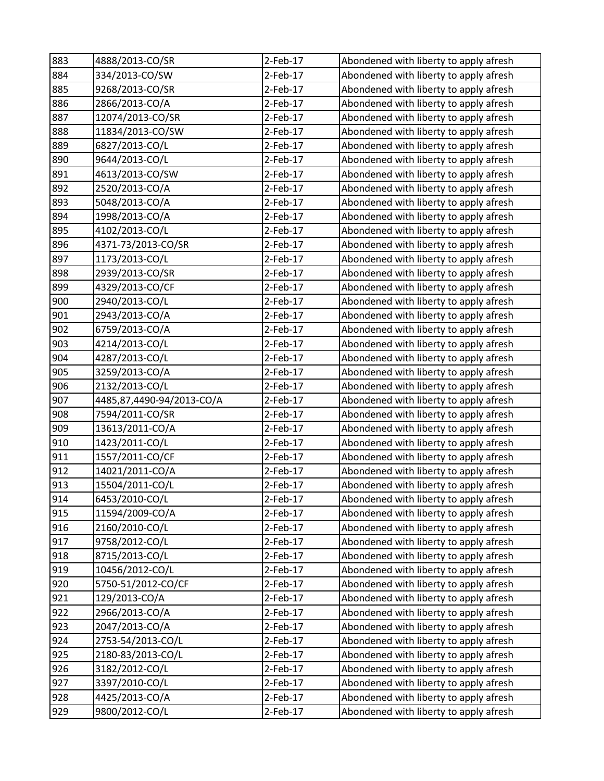| 883 | 4888/2013-CO/SR           | 2-Feb-17   | Abondened with liberty to apply afresh |
|-----|---------------------------|------------|----------------------------------------|
| 884 | 334/2013-CO/SW            | $2-Feb-17$ | Abondened with liberty to apply afresh |
| 885 | 9268/2013-CO/SR           | $2-Feb-17$ | Abondened with liberty to apply afresh |
| 886 | 2866/2013-CO/A            | 2-Feb-17   | Abondened with liberty to apply afresh |
| 887 | 12074/2013-CO/SR          | 2-Feb-17   | Abondened with liberty to apply afresh |
| 888 | 11834/2013-CO/SW          | 2-Feb-17   | Abondened with liberty to apply afresh |
| 889 | 6827/2013-CO/L            | $2-Feb-17$ | Abondened with liberty to apply afresh |
| 890 | 9644/2013-CO/L            | 2-Feb-17   | Abondened with liberty to apply afresh |
| 891 | 4613/2013-CO/SW           | $2-Feb-17$ | Abondened with liberty to apply afresh |
| 892 | 2520/2013-CO/A            | 2-Feb-17   | Abondened with liberty to apply afresh |
| 893 | 5048/2013-CO/A            | 2-Feb-17   | Abondened with liberty to apply afresh |
| 894 | 1998/2013-CO/A            | 2-Feb-17   | Abondened with liberty to apply afresh |
| 895 | 4102/2013-CO/L            | 2-Feb-17   | Abondened with liberty to apply afresh |
| 896 | 4371-73/2013-CO/SR        | 2-Feb-17   | Abondened with liberty to apply afresh |
| 897 | 1173/2013-CO/L            | $2-Feb-17$ | Abondened with liberty to apply afresh |
| 898 | 2939/2013-CO/SR           | 2-Feb-17   | Abondened with liberty to apply afresh |
| 899 | 4329/2013-CO/CF           | 2-Feb-17   | Abondened with liberty to apply afresh |
| 900 | 2940/2013-CO/L            | 2-Feb-17   | Abondened with liberty to apply afresh |
| 901 | 2943/2013-CO/A            | $2-Feb-17$ | Abondened with liberty to apply afresh |
| 902 | 6759/2013-CO/A            | $2-Feb-17$ | Abondened with liberty to apply afresh |
| 903 | 4214/2013-CO/L            | $2-Feb-17$ | Abondened with liberty to apply afresh |
| 904 | 4287/2013-CO/L            | 2-Feb-17   | Abondened with liberty to apply afresh |
| 905 | 3259/2013-CO/A            | $2-Feb-17$ | Abondened with liberty to apply afresh |
| 906 | 2132/2013-CO/L            | 2-Feb-17   | Abondened with liberty to apply afresh |
| 907 | 4485,87,4490-94/2013-CO/A | $2-Feb-17$ | Abondened with liberty to apply afresh |
| 908 | 7594/2011-CO/SR           | 2-Feb-17   | Abondened with liberty to apply afresh |
| 909 | 13613/2011-CO/A           | 2-Feb-17   | Abondened with liberty to apply afresh |
| 910 | 1423/2011-CO/L            | 2-Feb-17   | Abondened with liberty to apply afresh |
| 911 | 1557/2011-CO/CF           | 2-Feb-17   | Abondened with liberty to apply afresh |
| 912 | 14021/2011-CO/A           | $2-Feb-17$ | Abondened with liberty to apply afresh |
| 913 | 15504/2011-CO/L           | 2-Feb-17   | Abondened with liberty to apply afresh |
| 914 | 6453/2010-CO/L            | 2-Feb-17   | Abondened with liberty to apply afresh |
| 915 | 11594/2009-CO/A           | $2-Feb-17$ | Abondened with liberty to apply afresh |
| 916 | 2160/2010-CO/L            | 2-Feb-17   | Abondened with liberty to apply afresh |
| 917 | 9758/2012-CO/L            | $2-Feb-17$ | Abondened with liberty to apply afresh |
| 918 | 8715/2013-CO/L            | $2-Feb-17$ | Abondened with liberty to apply afresh |
| 919 | 10456/2012-CO/L           | $2-Feb-17$ | Abondened with liberty to apply afresh |
| 920 | 5750-51/2012-CO/CF        | $2-Feb-17$ | Abondened with liberty to apply afresh |
| 921 | 129/2013-CO/A             | 2-Feb-17   | Abondened with liberty to apply afresh |
| 922 | 2966/2013-CO/A            | $2-Feb-17$ | Abondened with liberty to apply afresh |
| 923 | 2047/2013-CO/A            | $2-Feb-17$ | Abondened with liberty to apply afresh |
| 924 | 2753-54/2013-CO/L         | 2-Feb-17   | Abondened with liberty to apply afresh |
| 925 | 2180-83/2013-CO/L         | $2-Feb-17$ | Abondened with liberty to apply afresh |
| 926 | 3182/2012-CO/L            | $2-Feb-17$ | Abondened with liberty to apply afresh |
| 927 | 3397/2010-CO/L            | 2-Feb-17   | Abondened with liberty to apply afresh |
| 928 | 4425/2013-CO/A            | $2-Feb-17$ | Abondened with liberty to apply afresh |
| 929 | 9800/2012-CO/L            | 2-Feb-17   | Abondened with liberty to apply afresh |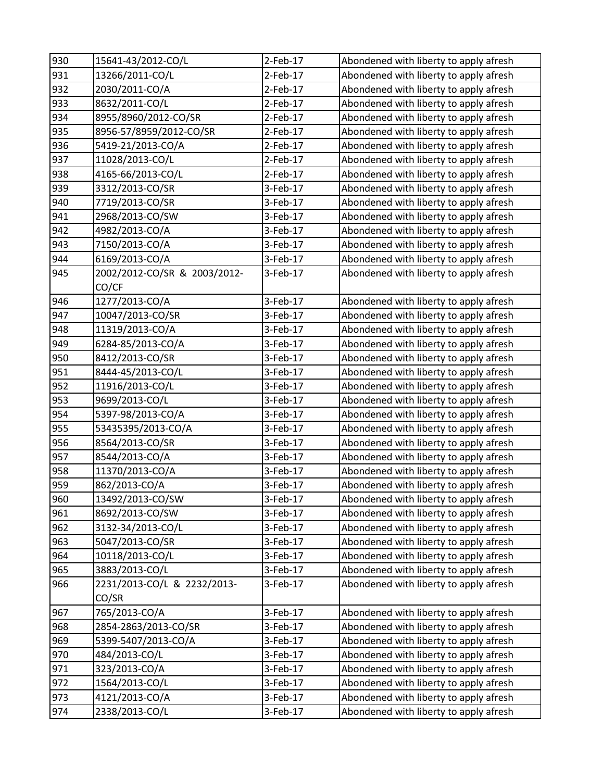| 930 | 15641-43/2012-CO/L           | 2-Feb-17   | Abondened with liberty to apply afresh |
|-----|------------------------------|------------|----------------------------------------|
| 931 | 13266/2011-CO/L              | $2-Feb-17$ | Abondened with liberty to apply afresh |
| 932 | 2030/2011-CO/A               | 2-Feb-17   | Abondened with liberty to apply afresh |
| 933 | 8632/2011-CO/L               | 2-Feb-17   | Abondened with liberty to apply afresh |
| 934 | 8955/8960/2012-CO/SR         | 2-Feb-17   | Abondened with liberty to apply afresh |
| 935 | 8956-57/8959/2012-CO/SR      | 2-Feb-17   | Abondened with liberty to apply afresh |
| 936 | 5419-21/2013-CO/A            | $2-Feb-17$ | Abondened with liberty to apply afresh |
| 937 | 11028/2013-CO/L              | 2-Feb-17   | Abondened with liberty to apply afresh |
| 938 | 4165-66/2013-CO/L            | $2-Feb-17$ | Abondened with liberty to apply afresh |
| 939 | 3312/2013-CO/SR              | 3-Feb-17   | Abondened with liberty to apply afresh |
| 940 | 7719/2013-CO/SR              | 3-Feb-17   | Abondened with liberty to apply afresh |
| 941 | 2968/2013-CO/SW              | 3-Feb-17   | Abondened with liberty to apply afresh |
| 942 | 4982/2013-CO/A               | 3-Feb-17   | Abondened with liberty to apply afresh |
| 943 | 7150/2013-CO/A               | 3-Feb-17   | Abondened with liberty to apply afresh |
| 944 | 6169/2013-CO/A               | 3-Feb-17   | Abondened with liberty to apply afresh |
| 945 | 2002/2012-CO/SR & 2003/2012- | 3-Feb-17   | Abondened with liberty to apply afresh |
|     | CO/CF                        |            |                                        |
| 946 | 1277/2013-CO/A               | 3-Feb-17   | Abondened with liberty to apply afresh |
| 947 | 10047/2013-CO/SR             | 3-Feb-17   | Abondened with liberty to apply afresh |
| 948 | 11319/2013-CO/A              | 3-Feb-17   | Abondened with liberty to apply afresh |
| 949 | 6284-85/2013-CO/A            | 3-Feb-17   | Abondened with liberty to apply afresh |
| 950 | 8412/2013-CO/SR              | 3-Feb-17   | Abondened with liberty to apply afresh |
| 951 | 8444-45/2013-CO/L            | 3-Feb-17   | Abondened with liberty to apply afresh |
| 952 | 11916/2013-CO/L              | 3-Feb-17   | Abondened with liberty to apply afresh |
| 953 | 9699/2013-CO/L               | 3-Feb-17   | Abondened with liberty to apply afresh |
| 954 | 5397-98/2013-CO/A            | 3-Feb-17   | Abondened with liberty to apply afresh |
| 955 | 53435395/2013-CO/A           | 3-Feb-17   | Abondened with liberty to apply afresh |
| 956 | 8564/2013-CO/SR              | 3-Feb-17   | Abondened with liberty to apply afresh |
| 957 | 8544/2013-CO/A               | 3-Feb-17   | Abondened with liberty to apply afresh |
| 958 | 11370/2013-CO/A              | 3-Feb-17   | Abondened with liberty to apply afresh |
| 959 | 862/2013-CO/A                | 3-Feb-17   | Abondened with liberty to apply afresh |
| 960 | 13492/2013-CO/SW             | 3-Feb-17   | Abondened with liberty to apply afresh |
| 961 | 8692/2013-CO/SW              | 3-Feb-17   | Abondened with liberty to apply afresh |
| 962 | 3132-34/2013-CO/L            | 3-Feb-17   | Abondened with liberty to apply afresh |
| 963 | 5047/2013-CO/SR              | 3-Feb-17   | Abondened with liberty to apply afresh |
| 964 | 10118/2013-CO/L              | 3-Feb-17   | Abondened with liberty to apply afresh |
| 965 | 3883/2013-CO/L               | 3-Feb-17   | Abondened with liberty to apply afresh |
| 966 | 2231/2013-CO/L & 2232/2013-  | 3-Feb-17   | Abondened with liberty to apply afresh |
|     | CO/SR                        |            |                                        |
| 967 | 765/2013-CO/A                | 3-Feb-17   | Abondened with liberty to apply afresh |
| 968 | 2854-2863/2013-CO/SR         | 3-Feb-17   | Abondened with liberty to apply afresh |
| 969 | 5399-5407/2013-CO/A          | 3-Feb-17   | Abondened with liberty to apply afresh |
| 970 | 484/2013-CO/L                | 3-Feb-17   | Abondened with liberty to apply afresh |
| 971 | 323/2013-CO/A                | 3-Feb-17   | Abondened with liberty to apply afresh |
| 972 | 1564/2013-CO/L               | 3-Feb-17   | Abondened with liberty to apply afresh |
| 973 | 4121/2013-CO/A               | 3-Feb-17   | Abondened with liberty to apply afresh |
| 974 | 2338/2013-CO/L               | 3-Feb-17   | Abondened with liberty to apply afresh |